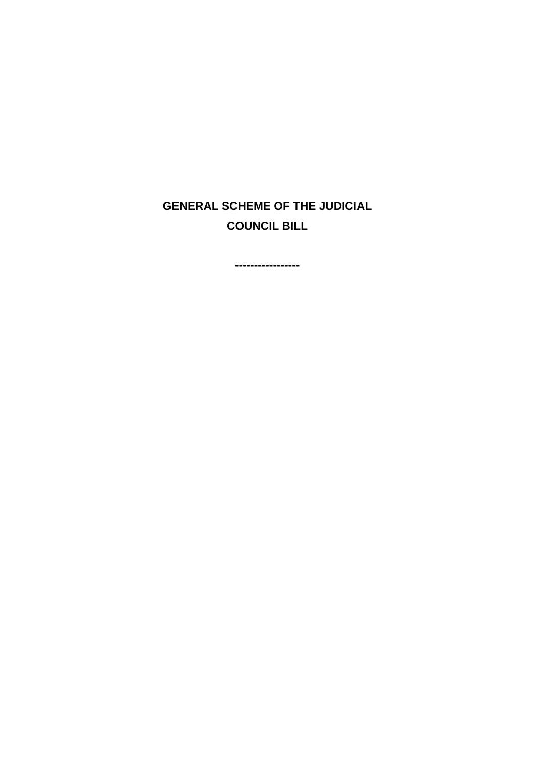# **GENERAL SCHEME OF THE JUDICIAL COUNCIL BILL**

**-----------------**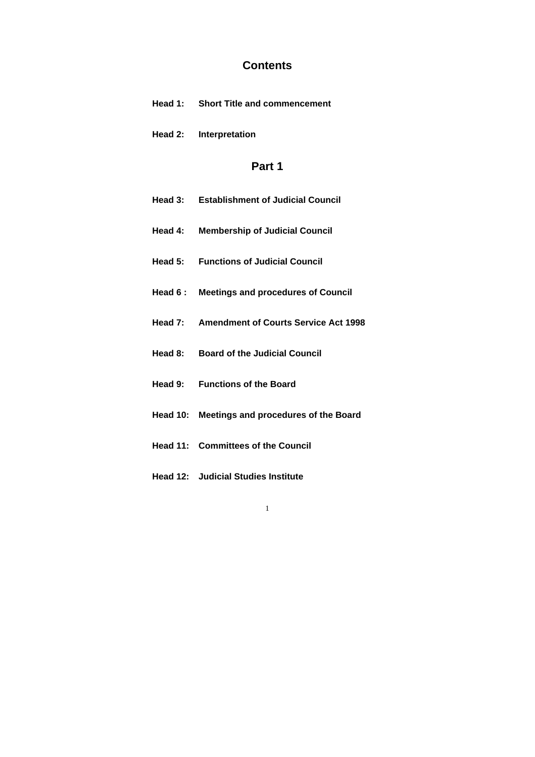# **Contents**

- **Head 1: Short Title and commencement**
- **Head 2: Interpretation**

# **Part 1**

| Head 3: | <b>Establishment of Judicial Council</b> |
|---------|------------------------------------------|
|         |                                          |

- **Head 4: Membership of Judicial Council**
- **Head 5: Functions of Judicial Council**
- **Head 6 : Meetings and procedures of Council**
- **Head 7: Amendment of Courts Service Act 1998**
- **Head 8: Board of the Judicial Council**
- **Head 9: Functions of the Board**
- **Head 10: Meetings and procedures of the Board**
- **Head 11: Committees of the Council**
- **Head 12: Judicial Studies Institute**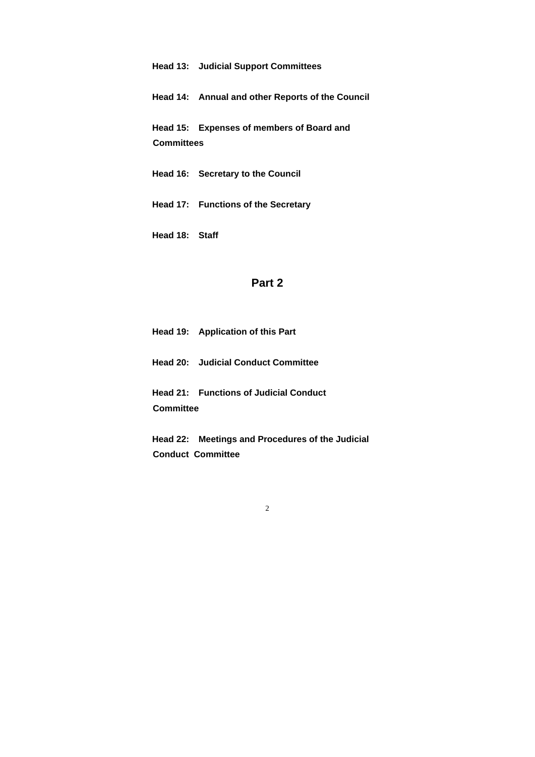### **Head 13: Judicial Support Committees**

**Head 14: Annual and other Reports of the Council** 

**Head 15: Expenses of members of Board and Committees** 

- **Head 16: Secretary to the Council**
- **Head 17: Functions of the Secretary**

**Head 18: Staff** 

### **Part 2**

**Head 19: Application of this Part** 

**Head 20: Judicial Conduct Committee** 

**Head 21: Functions of Judicial Conduct Committee** 

**Head 22: Meetings and Procedures of the Judicial Conduct Committee**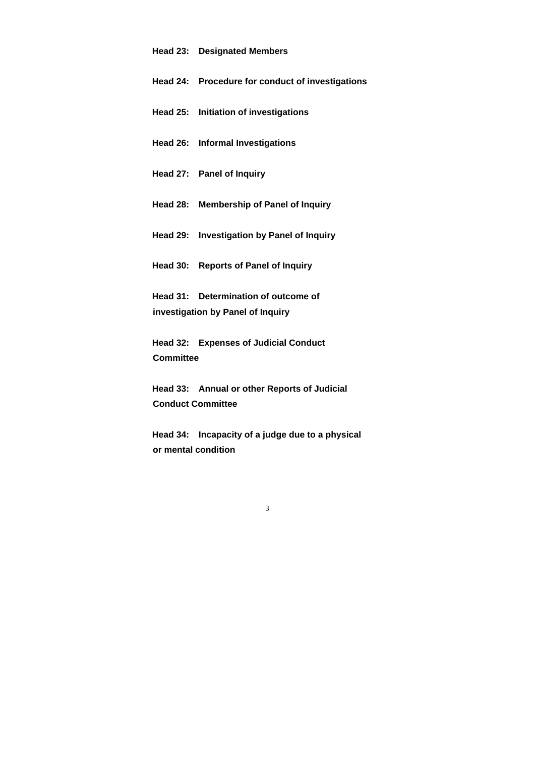#### **Head 23: Designated Members**

- **Head 24: Procedure for conduct of investigations**
- **Head 25: Initiation of investigations**
- **Head 26: Informal Investigations**
- **Head 27: Panel of Inquiry**
- **Head 28: Membership of Panel of Inquiry**
- **Head 29: Investigation by Panel of Inquiry**
- **Head 30: Reports of Panel of Inquiry**

**Head 31: Determination of outcome of investigation by Panel of Inquiry** 

**Head 32: Expenses of Judicial Conduct Committee** 

**Head 33: Annual or other Reports of Judicial Conduct Committee** 

**Head 34: Incapacity of a judge due to a physical or mental condition**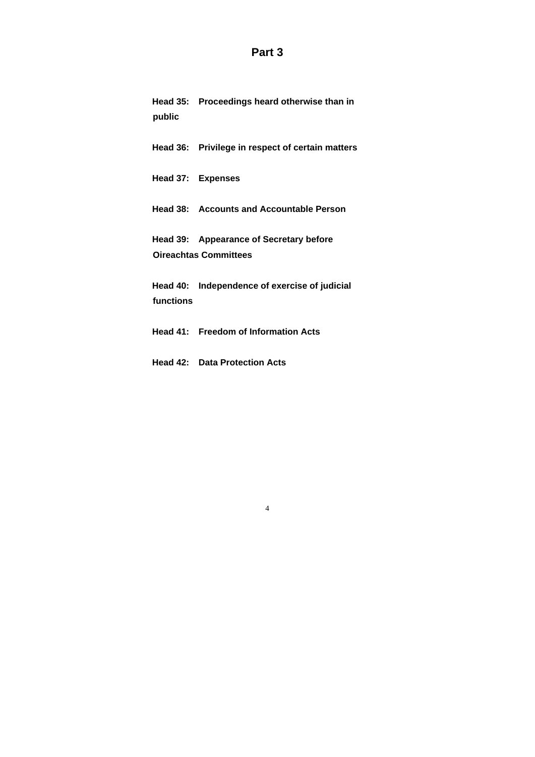### **Part 3**

**Head 35: Proceedings heard otherwise than in public** 

**Head 36: Privilege in respect of certain matters** 

**Head 37: Expenses** 

**Head 38: Accounts and Accountable Person** 

**Head 39: Appearance of Secretary before Oireachtas Committees** 

**Head 40: Independence of exercise of judicial functions** 

**Head 41: Freedom of Information Acts** 

**Head 42: Data Protection Acts**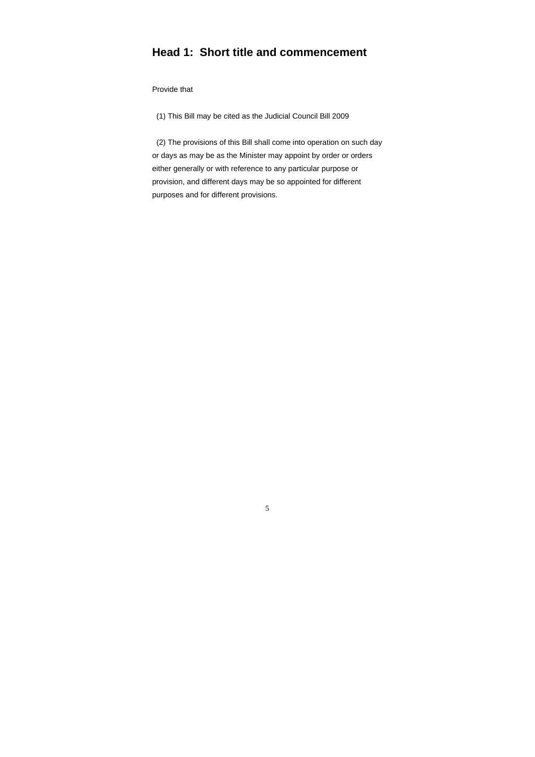# **Head 1: Short title and commencement**

Provide that

(1) This Bill may be cited as the Judicial Council Bill 2009

 (2) The provisions of this Bill shall come into operation on such day or days as may be as the Minister may appoint by order or orders either generally or with reference to any particular purpose or provision, and different days may be so appointed for different purposes and for different provisions.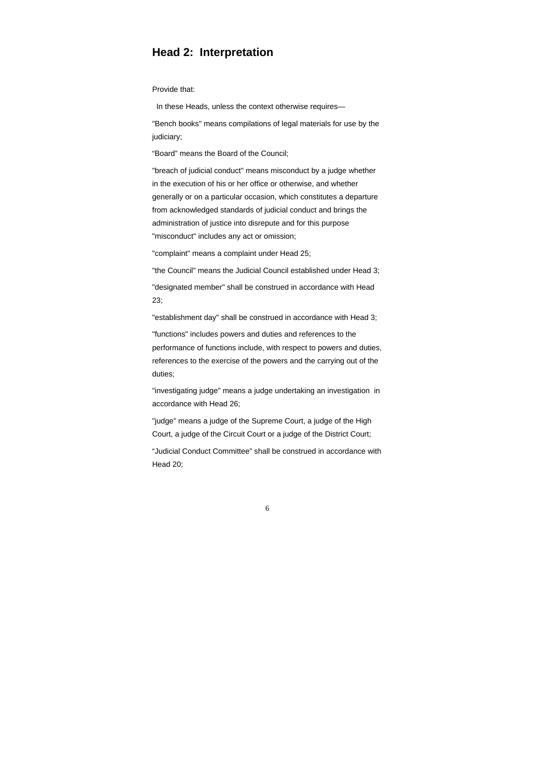### **Head 2: Interpretation**

Provide that:

In these Heads, unless the context otherwise requires—

"Bench books" means compilations of legal materials for use by the judiciary;

"Board" means the Board of the Council;

"breach of judicial conduct" means misconduct by a judge whether in the execution of his or her office or otherwise, and whether generally or on a particular occasion, which constitutes a departure from acknowledged standards of judicial conduct and brings the administration of justice into disrepute and for this purpose "misconduct" includes any act or omission;

"complaint" means a complaint under Head 25;

"the Council" means the Judicial Council established under Head 3;

"designated member" shall be construed in accordance with Head 23;

"establishment day" shall be construed in accordance with Head 3;

"functions" includes powers and duties and references to the performance of functions include, with respect to powers and duties, references to the exercise of the powers and the carrying out of the duties;

"investigating judge" means a judge undertaking an investigation in accordance with Head 26;

"judge" means a judge of the Supreme Court, a judge of the High Court, a judge of the Circuit Court or a judge of the District Court;

"Judicial Conduct Committee" shall be construed in accordance with Head 20;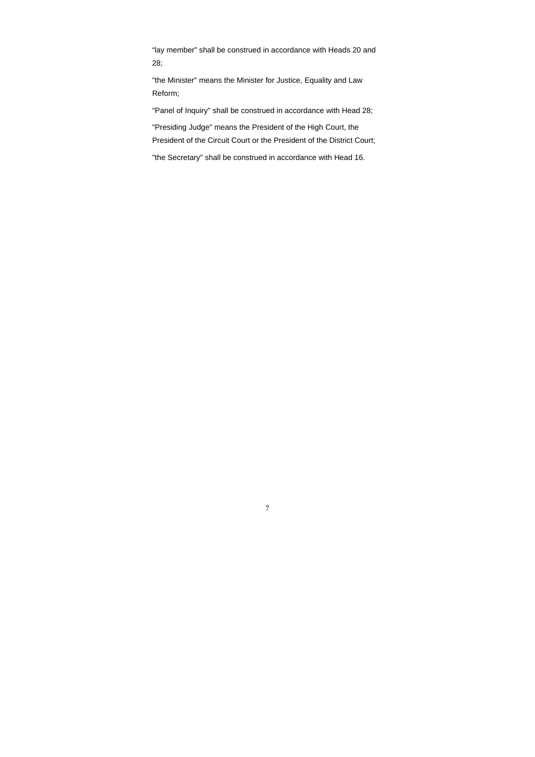"lay member" shall be construed in accordance with Heads 20 and 28;

"the Minister" means the Minister for Justice, Equality and Law Reform;

"Panel of Inquiry" shall be construed in accordance with Head 28;

"Presiding Judge" means the President of the High Court, the President of the Circuit Court or the President of the District Court;

"the Secretary" shall be construed in accordance with Head 16.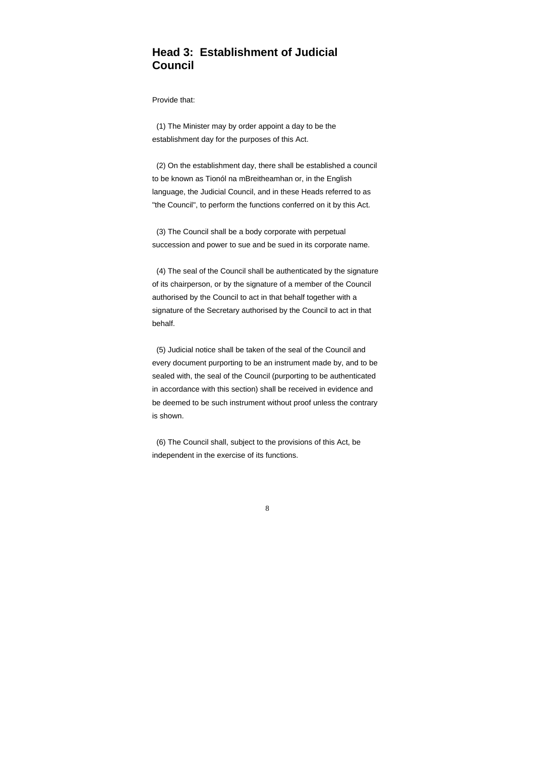# **Head 3: Establishment of Judicial Council**

Provide that:

 (1) The Minister may by order appoint a day to be the establishment day for the purposes of this Act.

 (2) On the establishment day, there shall be established a council to be known as Tionól na mBreitheamhan or, in the English language, the Judicial Council, and in these Heads referred to as "the Council", to perform the functions conferred on it by this Act.

 (3) The Council shall be a body corporate with perpetual succession and power to sue and be sued in its corporate name.

 (4) The seal of the Council shall be authenticated by the signature of its chairperson, or by the signature of a member of the Council authorised by the Council to act in that behalf together with a signature of the Secretary authorised by the Council to act in that behalf.

 (5) Judicial notice shall be taken of the seal of the Council and every document purporting to be an instrument made by, and to be sealed with, the seal of the Council (purporting to be authenticated in accordance with this section) shall be received in evidence and be deemed to be such instrument without proof unless the contrary is shown.

 (6) The Council shall, subject to the provisions of this Act, be independent in the exercise of its functions.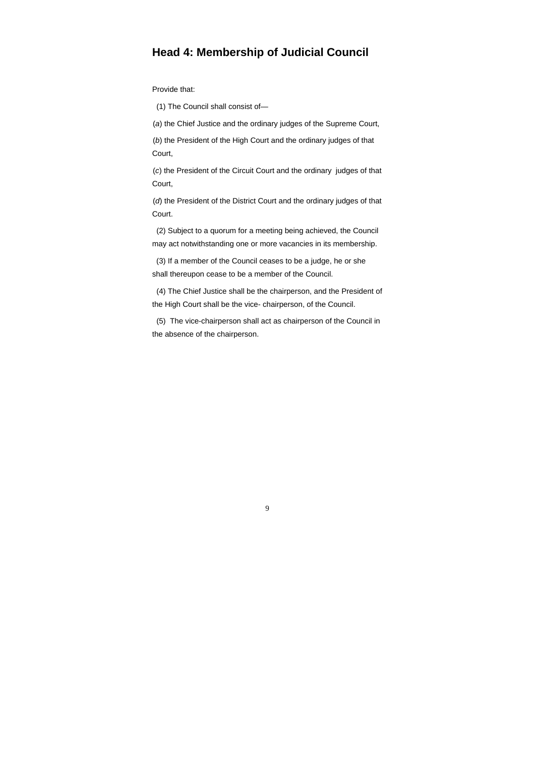# **Head 4: Membership of Judicial Council**

Provide that:

(1) The Council shall consist of—

(*a*) the Chief Justice and the ordinary judges of the Supreme Court,

 (*b*) the President of the High Court and the ordinary judges of that Court,

 (*c*) the President of the Circuit Court and the ordinary judges of that Court,

 (*d*) the President of the District Court and the ordinary judges of that Court.

 (2) Subject to a quorum for a meeting being achieved, the Council may act notwithstanding one or more vacancies in its membership.

 (3) If a member of the Council ceases to be a judge, he or she shall thereupon cease to be a member of the Council.

 (4) The Chief Justice shall be the chairperson, and the President of the High Court shall be the vice- chairperson, of the Council.

 (5) The vice-chairperson shall act as chairperson of the Council in the absence of the chairperson.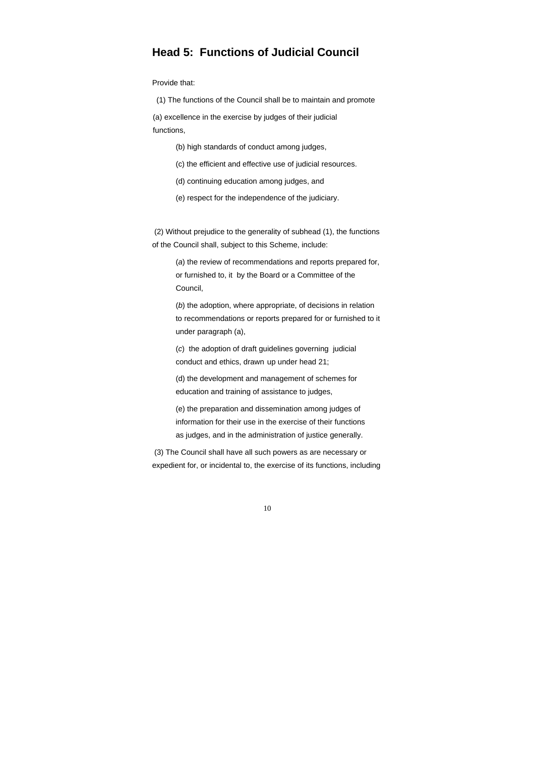### **Head 5: Functions of Judicial Council**

Provide that:

 (1) The functions of the Council shall be to maintain and promote (a) excellence in the exercise by judges of their judicial functions,

(b) high standards of conduct among judges,

(c) the efficient and effective use of judicial resources.

(d) continuing education among judges, and

(e) respect for the independence of the judiciary.

 (2) Without prejudice to the generality of subhead (1), the functions of the Council shall, subject to this Scheme, include:

 (*a*) the review of recommendations and reports prepared for, or furnished to, it by the Board or a Committee of the Council,

 (*b*) the adoption, where appropriate, of decisions in relation to recommendations or reports prepared for or furnished to it under paragraph (a),

 (*c*) the adoption of draft guidelines governing judicial conduct and ethics, drawn up under head 21;

 (d) the development and management of schemes for education and training of assistance to judges,

 (e) the preparation and dissemination among judges of information for their use in the exercise of their functions as judges, and in the administration of justice generally.

 (3) The Council shall have all such powers as are necessary or expedient for, or incidental to, the exercise of its functions, including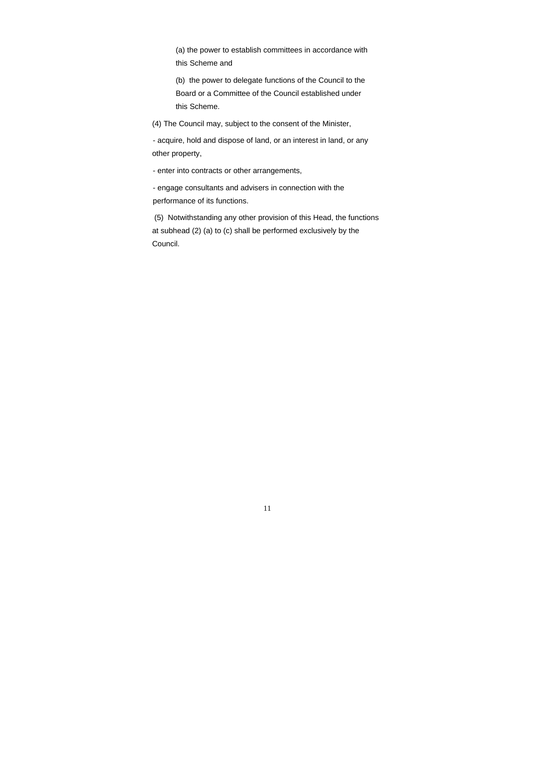(a) the power to establish committees in accordance with this Scheme and

 (b) the power to delegate functions of the Council to the Board or a Committee of the Council established under this Scheme.

(4) The Council may, subject to the consent of the Minister,

 - acquire, hold and dispose of land, or an interest in land, or any other property,

- enter into contracts or other arrangements,

 - engage consultants and advisers in connection with the performance of its functions.

 (5) Notwithstanding any other provision of this Head, the functions at subhead (2) (a) to (c) shall be performed exclusively by the Council.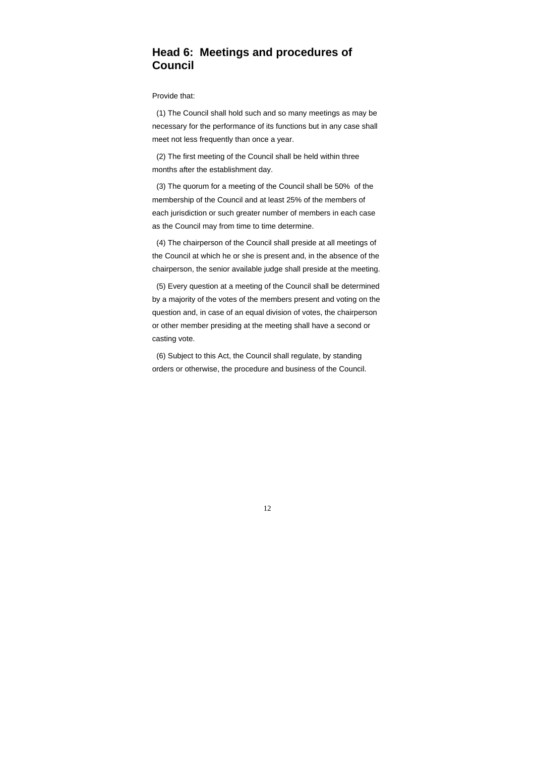# **Head 6: Meetings and procedures of Council**

Provide that:

 (1) The Council shall hold such and so many meetings as may be necessary for the performance of its functions but in any case shall meet not less frequently than once a year.

 (2) The first meeting of the Council shall be held within three months after the establishment day.

 (3) The quorum for a meeting of the Council shall be 50% of the membership of the Council and at least 25% of the members of each jurisdiction or such greater number of members in each case as the Council may from time to time determine.

 (4) The chairperson of the Council shall preside at all meetings of the Council at which he or she is present and, in the absence of the chairperson, the senior available judge shall preside at the meeting.

 (5) Every question at a meeting of the Council shall be determined by a majority of the votes of the members present and voting on the question and, in case of an equal division of votes, the chairperson or other member presiding at the meeting shall have a second or casting vote.

 (6) Subject to this Act, the Council shall regulate, by standing orders or otherwise, the procedure and business of the Council.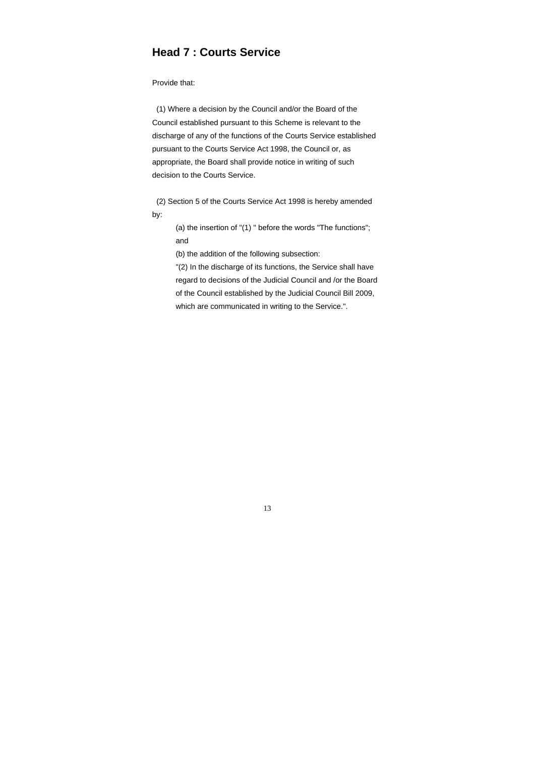# **Head 7 : Courts Service**

Provide that:

 (1) Where a decision by the Council and/or the Board of the Council established pursuant to this Scheme is relevant to the discharge of any of the functions of the Courts Service established pursuant to the Courts Service Act 1998, the Council or, as appropriate, the Board shall provide notice in writing of such decision to the Courts Service.

 (2) Section 5 of the Courts Service Act 1998 is hereby amended by:

> (a) the insertion of "(1) " before the words "The functions"; and

(b) the addition of the following subsection:

 "(2) In the discharge of its functions, the Service shall have regard to decisions of the Judicial Council and /or the Board of the Council established by the Judicial Council Bill 2009, which are communicated in writing to the Service.".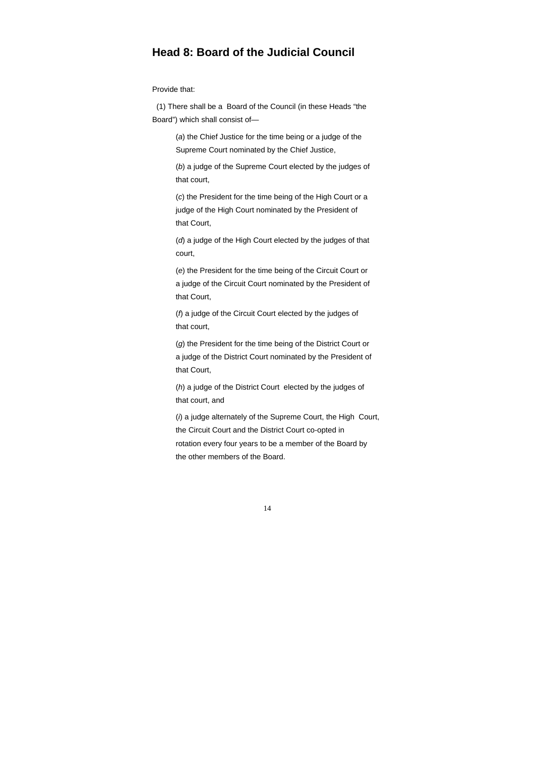### **Head 8: Board of the Judicial Council**

Provide that:

 (1) There shall be a Board of the Council (in these Heads "the Board") which shall consist of—

> (*a*) the Chief Justice for the time being or a judge of the Supreme Court nominated by the Chief Justice,

 (*b*) a judge of the Supreme Court elected by the judges of that court,

 (*c*) the President for the time being of the High Court or a judge of the High Court nominated by the President of that Court,

 (*d*) a judge of the High Court elected by the judges of that court,

 (*e*) the President for the time being of the Circuit Court or a judge of the Circuit Court nominated by the President of that Court,

 (*f*) a judge of the Circuit Court elected by the judges of that court,

 (*g*) the President for the time being of the District Court or a judge of the District Court nominated by the President of that Court,

 (*h*) a judge of the District Court elected by the judges of that court, and

 (*i*) a judge alternately of the Supreme Court, the High Court, the Circuit Court and the District Court co-opted in rotation every four years to be a member of the Board by the other members of the Board.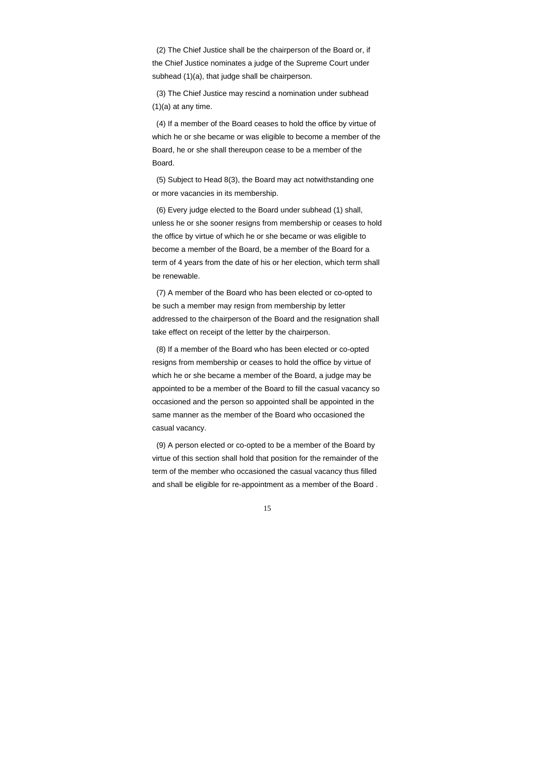(3) The Chief Justice may rescind a nomination under subhead  $(1)(a)$  at any time.

 (2) The Chief Justice shall be the chairperson of the Board or, if the Chief Justice nominates a judge of the Supreme Court under subhead (1)(a), that judge shall be chairperson.

 (4) If a member of the Board ceases to hold the office by virtue of which he or she became or was eligible to become a member of the Board, he or she shall thereupon cease to be a member of the Board.

 (5) Subject to Head 8(3), the Board may act notwithstanding one or more vacancies in its membership.

 (6) Every judge elected to the Board under subhead (1) shall, unless he or she sooner resigns from membership or ceases to hold the office by virtue of which he or she became or was eligible to become a member of the Board, be a member of the Board for a term of 4 years from the date of his or her election, which term shall be renewable.

 (7) A member of the Board who has been elected or co-opted to be such a member may resign from membership by letter addressed to the chairperson of the Board and the resignation shall take effect on receipt of the letter by the chairperson.

 (8) If a member of the Board who has been elected or co-opted resigns from membership or ceases to hold the office by virtue of which he or she became a member of the Board, a judge may be appointed to be a member of the Board to fill the casual vacancy so occasioned and the person so appointed shall be appointed in the same manner as the member of the Board who occasioned the casual vacancy.

 (9) A person elected or co-opted to be a member of the Board by virtue of this section shall hold that position for the remainder of the term of the member who occasioned the casual vacancy thus filled and shall be eligible for re-appointment as a member of the Board .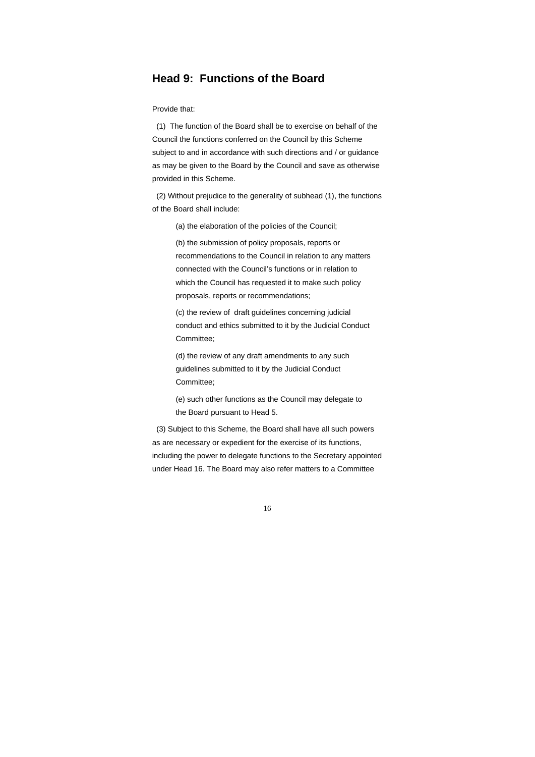### **Head 9: Functions of the Board**

Provide that:

 (1) The function of the Board shall be to exercise on behalf of the Council the functions conferred on the Council by this Scheme subject to and in accordance with such directions and / or guidance as may be given to the Board by the Council and save as otherwise provided in this Scheme.

 (2) Without prejudice to the generality of subhead (1), the functions of the Board shall include:

(a) the elaboration of the policies of the Council;

 (b) the submission of policy proposals, reports or recommendations to the Council in relation to any matters connected with the Council's functions or in relation to which the Council has requested it to make such policy proposals, reports or recommendations;

 (c) the review of draft guidelines concerning judicial conduct and ethics submitted to it by the Judicial Conduct Committee;

 (d) the review of any draft amendments to any such guidelines submitted to it by the Judicial Conduct Committee;

 (e) such other functions as the Council may delegate to the Board pursuant to Head 5.

 (3) Subject to this Scheme, the Board shall have all such powers as are necessary or expedient for the exercise of its functions, including the power to delegate functions to the Secretary appointed under Head 16. The Board may also refer matters to a Committee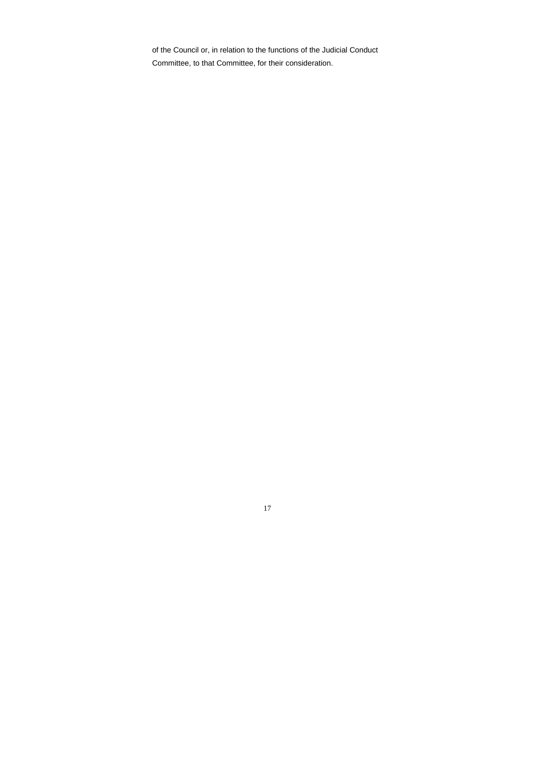of the Council or, in relation to the functions of the Judicial Conduct Committee, to that Committee, for their consideration.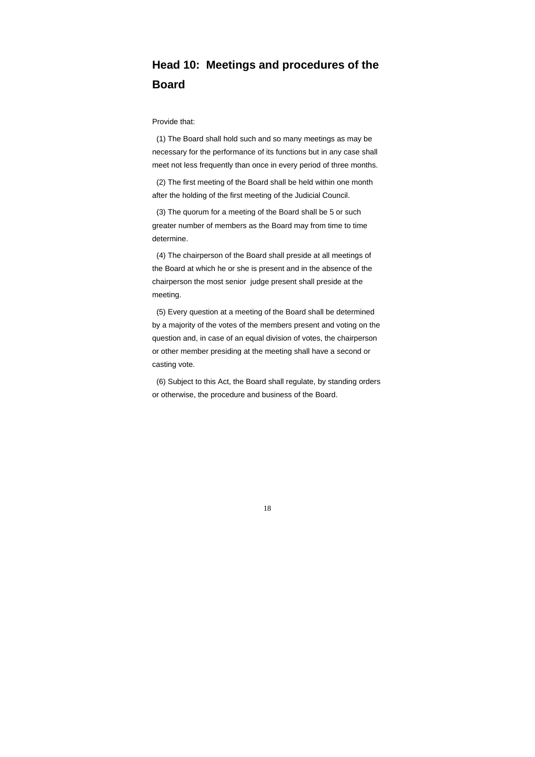# **Head 10: Meetings and procedures of the Board**

Provide that:

 (1) The Board shall hold such and so many meetings as may be necessary for the performance of its functions but in any case shall meet not less frequently than once in every period of three months.

 (2) The first meeting of the Board shall be held within one month after the holding of the first meeting of the Judicial Council.

 (3) The quorum for a meeting of the Board shall be 5 or such greater number of members as the Board may from time to time determine.

 (4) The chairperson of the Board shall preside at all meetings of the Board at which he or she is present and in the absence of the chairperson the most senior judge present shall preside at the meeting.

 (5) Every question at a meeting of the Board shall be determined by a majority of the votes of the members present and voting on the question and, in case of an equal division of votes, the chairperson or other member presiding at the meeting shall have a second or casting vote.

 (6) Subject to this Act, the Board shall regulate, by standing orders or otherwise, the procedure and business of the Board.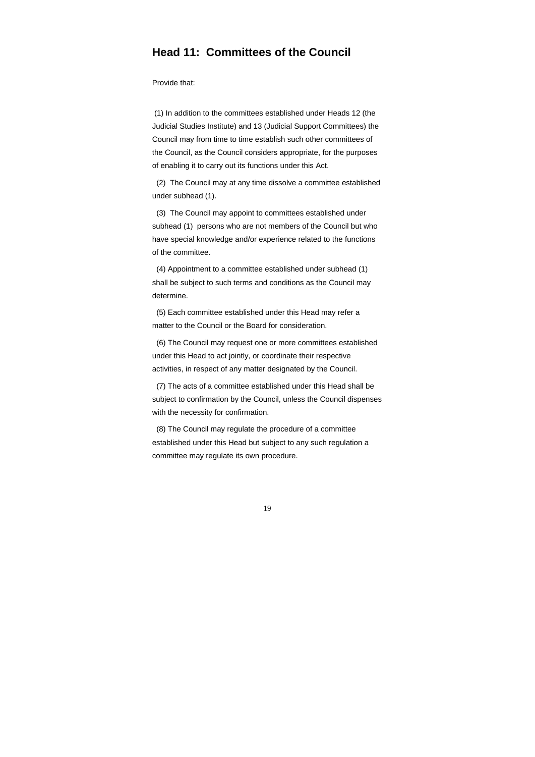### **Head 11: Committees of the Council**

Provide that:

 (1) In addition to the committees established under Heads 12 (the Judicial Studies Institute) and 13 (Judicial Support Committees) the Council may from time to time establish such other committees of the Council, as the Council considers appropriate, for the purposes of enabling it to carry out its functions under this Act.

 (2) The Council may at any time dissolve a committee established under subhead (1).

 (3) The Council may appoint to committees established under subhead (1) persons who are not members of the Council but who have special knowledge and/or experience related to the functions of the committee.

 (4) Appointment to a committee established under subhead (1) shall be subject to such terms and conditions as the Council may determine.

 (5) Each committee established under this Head may refer a matter to the Council or the Board for consideration.

 (6) The Council may request one or more committees established under this Head to act jointly, or coordinate their respective activities, in respect of any matter designated by the Council.

 (7) The acts of a committee established under this Head shall be subject to confirmation by the Council, unless the Council dispenses with the necessity for confirmation.

 (8) The Council may regulate the procedure of a committee established under this Head but subject to any such regulation a committee may regulate its own procedure.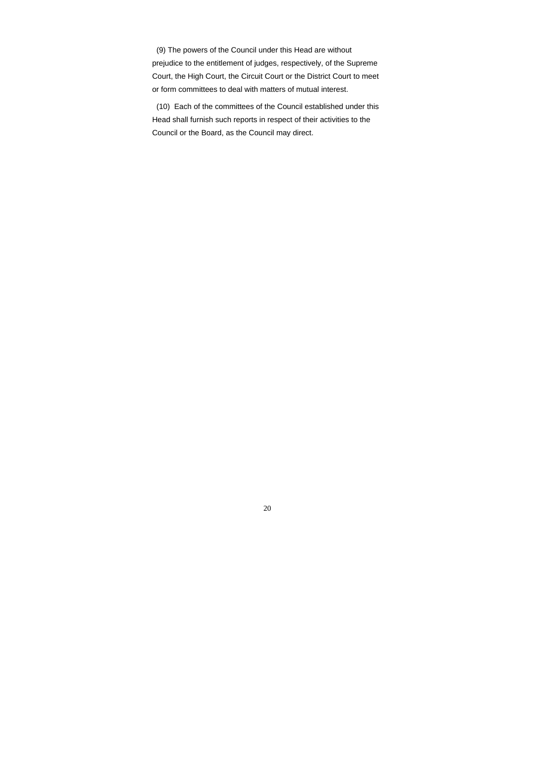(9) The powers of the Council under this Head are without prejudice to the entitlement of judges, respectively, of the Supreme Court, the High Court, the Circuit Court or the District Court to meet or form committees to deal with matters of mutual interest.

 (10) Each of the committees of the Council established under this Head shall furnish such reports in respect of their activities to the Council or the Board, as the Council may direct.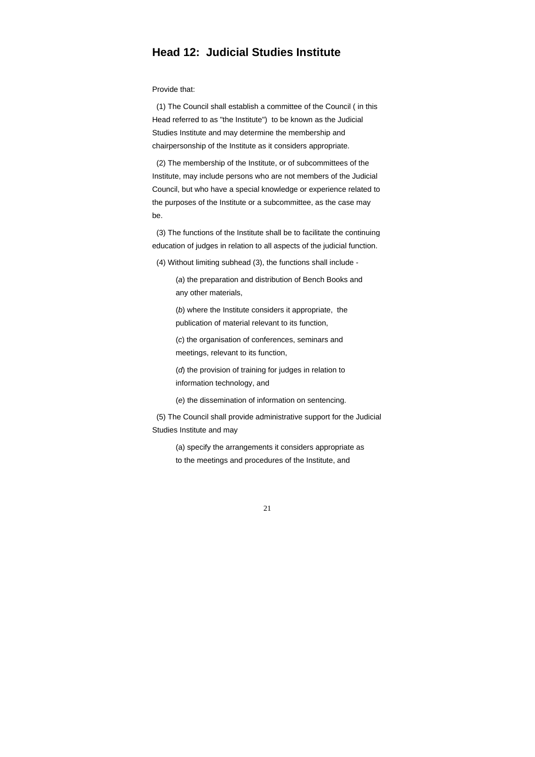### **Head 12: Judicial Studies Institute**

#### Provide that:

 (1) The Council shall establish a committee of the Council ( in this Head referred to as "the Institute") to be known as the Judicial Studies Institute and may determine the membership and chairpersonship of the Institute as it considers appropriate.

 (2) The membership of the Institute, or of subcommittees of the Institute, may include persons who are not members of the Judicial Council, but who have a special knowledge or experience related to the purposes of the Institute or a subcommittee, as the case may be.

 (3) The functions of the Institute shall be to facilitate the continuing education of judges in relation to all aspects of the judicial function.

(4) Without limiting subhead (3), the functions shall include -

 (*a*) the preparation and distribution of Bench Books and any other materials,

 (*b*) where the Institute considers it appropriate, the publication of material relevant to its function,

 (*c*) the organisation of conferences, seminars and meetings, relevant to its function,

 (*d*) the provision of training for judges in relation to information technology, and

(*e*) the dissemination of information on sentencing.

 (5) The Council shall provide administrative support for the Judicial Studies Institute and may

 (a) specify the arrangements it considers appropriate as to the meetings and procedures of the Institute, and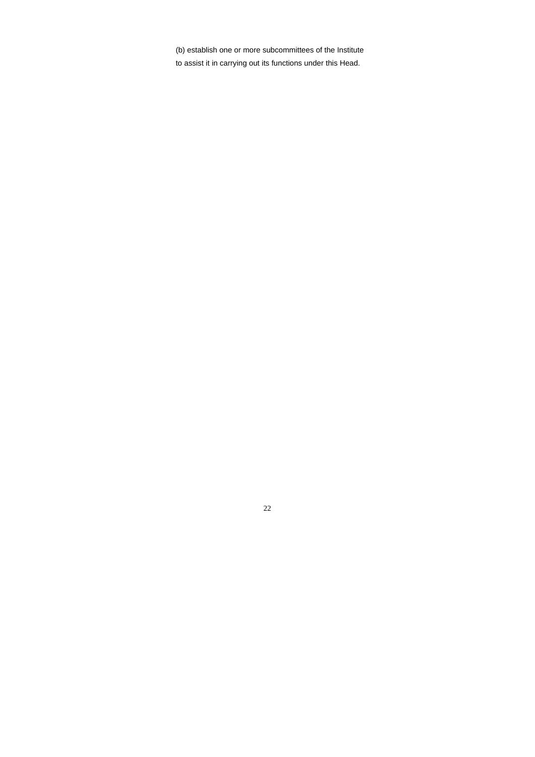(b) establish one or more subcommittees of the Institute to assist it in carrying out its functions under this Head.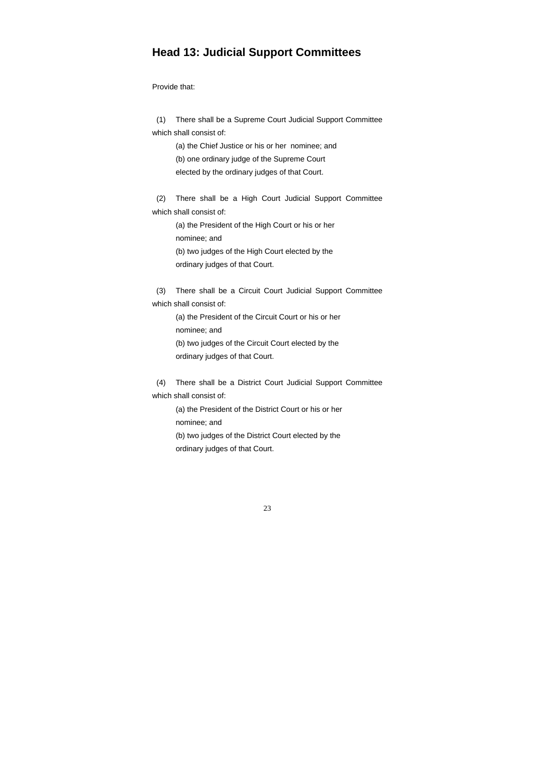# **Head 13: Judicial Support Committees**

Provide that:

 (1) There shall be a Supreme Court Judicial Support Committee which shall consist of:

 (a) the Chief Justice or his or her nominee; and (b) one ordinary judge of the Supreme Court elected by the ordinary judges of that Court.

 (2) There shall be a High Court Judicial Support Committee which shall consist of:

 (a) the President of the High Court or his or her nominee; and (b) two judges of the High Court elected by the ordinary judges of that Court.

 (3) There shall be a Circuit Court Judicial Support Committee which shall consist of:

 (a) the President of the Circuit Court or his or her nominee; and (b) two judges of the Circuit Court elected by the ordinary judges of that Court.

 (4) There shall be a District Court Judicial Support Committee which shall consist of:

> (a) the President of the District Court or his or her nominee; and (b) two judges of the District Court elected by the ordinary judges of that Court.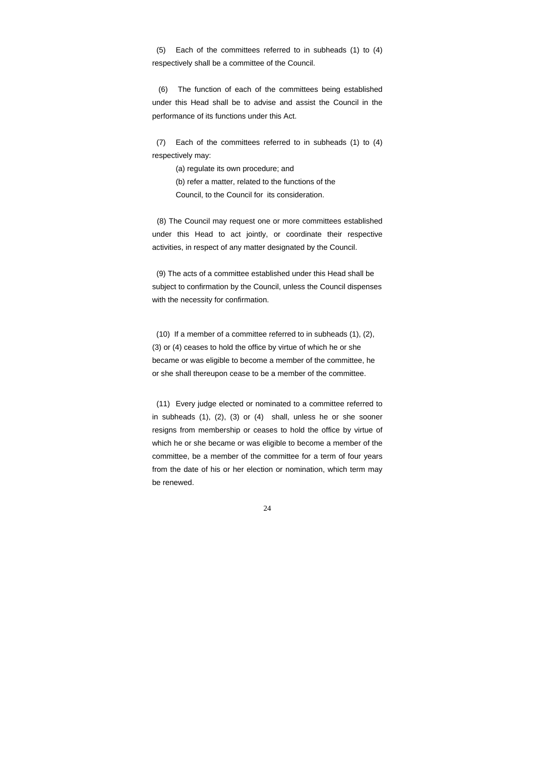(5) Each of the committees referred to in subheads (1) to (4) respectively shall be a committee of the Council.

 (6) The function of each of the committees being established under this Head shall be to advise and assist the Council in the performance of its functions under this Act.

 (7) Each of the committees referred to in subheads (1) to (4) respectively may:

> (a) regulate its own procedure; and (b) refer a matter, related to the functions of the Council, to the Council for its consideration.

 (8) The Council may request one or more committees established under this Head to act jointly, or coordinate their respective activities, in respect of any matter designated by the Council.

 (9) The acts of a committee established under this Head shall be subject to confirmation by the Council, unless the Council dispenses with the necessity for confirmation.

 (10) If a member of a committee referred to in subheads (1), (2), (3) or (4) ceases to hold the office by virtue of which he or she became or was eligible to become a member of the committee, he or she shall thereupon cease to be a member of the committee.

 (11) Every judge elected or nominated to a committee referred to in subheads (1), (2), (3) or (4) shall, unless he or she sooner resigns from membership or ceases to hold the office by virtue of which he or she became or was eligible to become a member of the committee, be a member of the committee for a term of four years from the date of his or her election or nomination, which term may be renewed.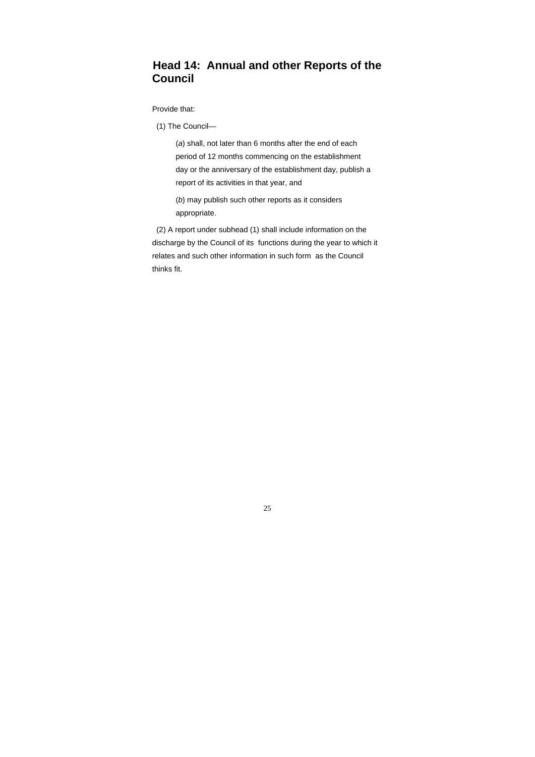# **Head 14: Annual and other Reports of the Council**

Provide that:

(1) The Council—

 (*a*) shall, not later than 6 months after the end of each period of 12 months commencing on the establishment day or the anniversary of the establishment day, publish a report of its activities in that year, and

 (*b*) may publish such other reports as it considers appropriate.

 (2) A report under subhead (1) shall include information on the discharge by the Council of its functions during the year to which it relates and such other information in such form as the Council thinks fit.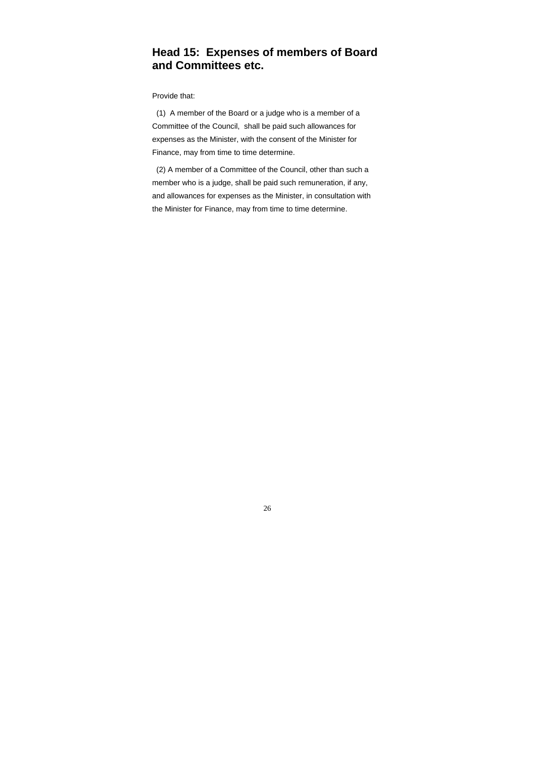# **Head 15: Expenses of members of Board and Committees etc.**

Provide that:

 (1) A member of the Board or a judge who is a member of a Committee of the Council, shall be paid such allowances for expenses as the Minister, with the consent of the Minister for Finance, may from time to time determine.

 (2) A member of a Committee of the Council, other than such a member who is a judge, shall be paid such remuneration, if any, and allowances for expenses as the Minister, in consultation with the Minister for Finance, may from time to time determine.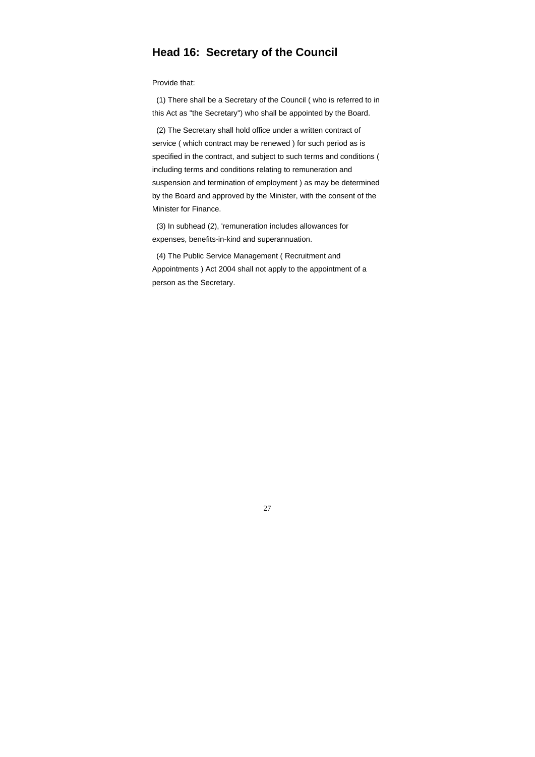# **Head 16: Secretary of the Council**

Provide that:

 (1) There shall be a Secretary of the Council ( who is referred to in this Act as "the Secretary") who shall be appointed by the Board.

 (2) The Secretary shall hold office under a written contract of service ( which contract may be renewed ) for such period as is specified in the contract, and subject to such terms and conditions ( including terms and conditions relating to remuneration and suspension and termination of employment ) as may be determined by the Board and approved by the Minister, with the consent of the Minister for Finance.

 (3) In subhead (2), 'remuneration includes allowances for expenses, benefits-in-kind and superannuation.

 (4) The Public Service Management ( Recruitment and Appointments ) Act 2004 shall not apply to the appointment of a person as the Secretary.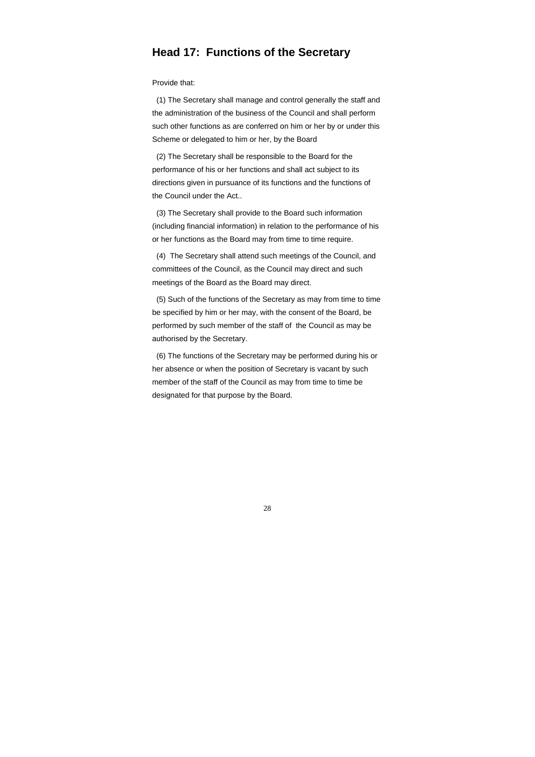### **Head 17: Functions of the Secretary**

Provide that:

 (1) The Secretary shall manage and control generally the staff and the administration of the business of the Council and shall perform such other functions as are conferred on him or her by or under this Scheme or delegated to him or her, by the Board

 (2) The Secretary shall be responsible to the Board for the performance of his or her functions and shall act subject to its directions given in pursuance of its functions and the functions of the Council under the Act..

 (3) The Secretary shall provide to the Board such information (including financial information) in relation to the performance of his or her functions as the Board may from time to time require.

 (4) The Secretary shall attend such meetings of the Council, and committees of the Council, as the Council may direct and such meetings of the Board as the Board may direct.

 (5) Such of the functions of the Secretary as may from time to time be specified by him or her may, with the consent of the Board, be performed by such member of the staff of the Council as may be authorised by the Secretary.

 (6) The functions of the Secretary may be performed during his or her absence or when the position of Secretary is vacant by such member of the staff of the Council as may from time to time be designated for that purpose by the Board.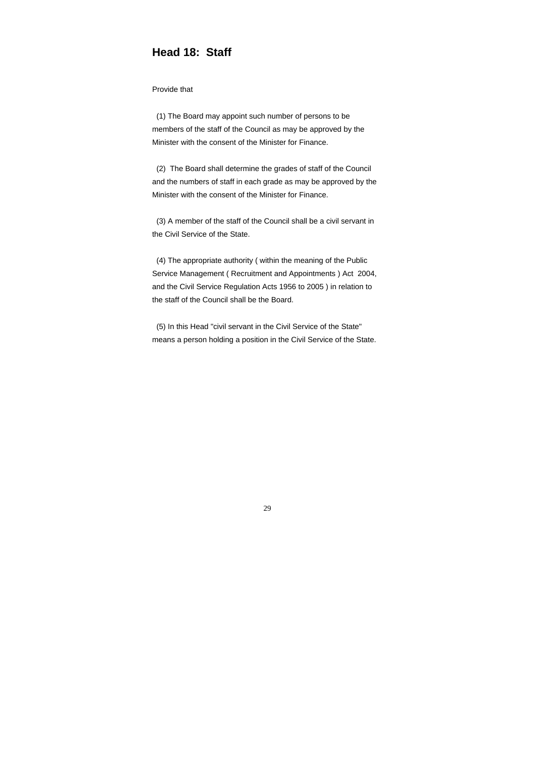# **Head 18: Staff**

#### Provide that

 (1) The Board may appoint such number of persons to be members of the staff of the Council as may be approved by the Minister with the consent of the Minister for Finance.

 (2) The Board shall determine the grades of staff of the Council and the numbers of staff in each grade as may be approved by the Minister with the consent of the Minister for Finance.

 (3) A member of the staff of the Council shall be a civil servant in the Civil Service of the State.

 (4) The appropriate authority ( within the meaning of the Public Service Management ( Recruitment and Appointments ) Act 2004, and the Civil Service Regulation Acts 1956 to 2005 ) in relation to the staff of the Council shall be the Board.

 (5) In this Head "civil servant in the Civil Service of the State" means a person holding a position in the Civil Service of the State.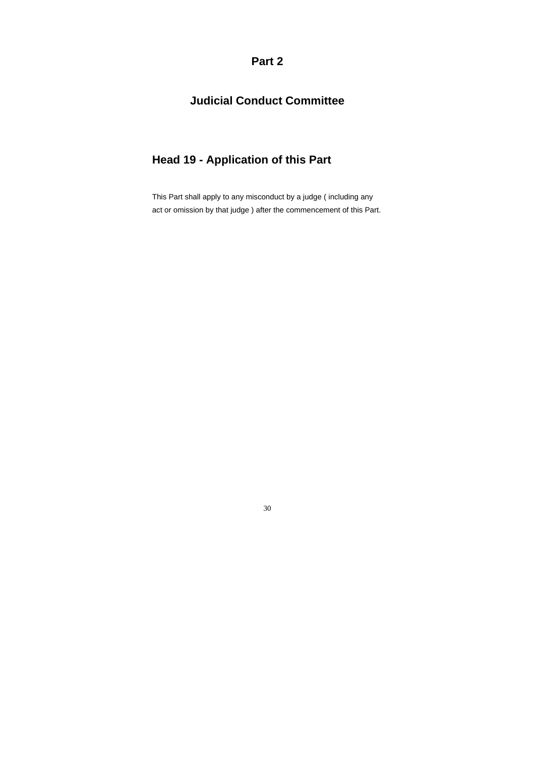**Part 2** 

# **Judicial Conduct Committee**

# **Head 19 - Application of this Part**

This Part shall apply to any misconduct by a judge ( including any act or omission by that judge ) after the commencement of this Part.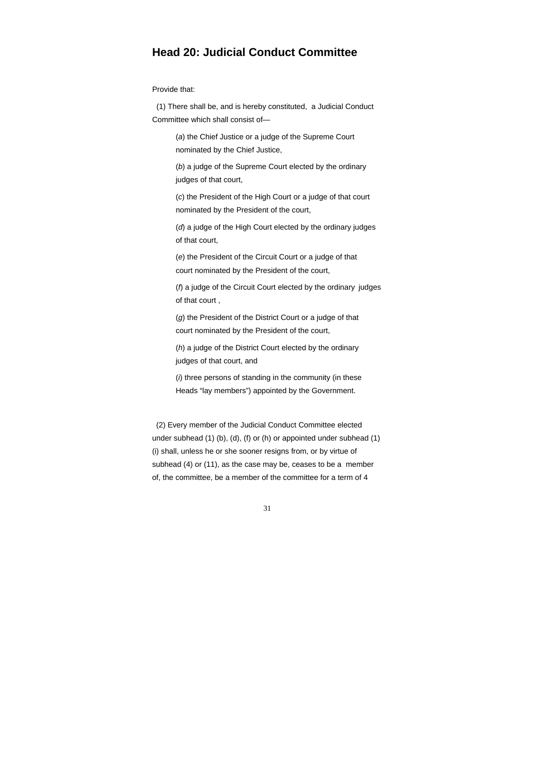### **Head 20: Judicial Conduct Committee**

Provide that:

 (1) There shall be, and is hereby constituted, a Judicial Conduct Committee which shall consist of—

> (*a*) the Chief Justice or a judge of the Supreme Court nominated by the Chief Justice,

 (*b*) a judge of the Supreme Court elected by the ordinary judges of that court,

 (*c*) the President of the High Court or a judge of that court nominated by the President of the court,

 (*d*) a judge of the High Court elected by the ordinary judges of that court,

 (*e*) the President of the Circuit Court or a judge of that court nominated by the President of the court,

 (*f*) a judge of the Circuit Court elected by the ordinary judges of that court ,

 (*g*) the President of the District Court or a judge of that court nominated by the President of the court,

 (*h*) a judge of the District Court elected by the ordinary judges of that court, and

 (*i*) three persons of standing in the community (in these Heads "lay members") appointed by the Government.

 (2) Every member of the Judicial Conduct Committee elected under subhead (1) (b), (d), (f) or (h) or appointed under subhead (1) (i) shall, unless he or she sooner resigns from, or by virtue of subhead (4) or (11), as the case may be, ceases to be a member of, the committee, be a member of the committee for a term of 4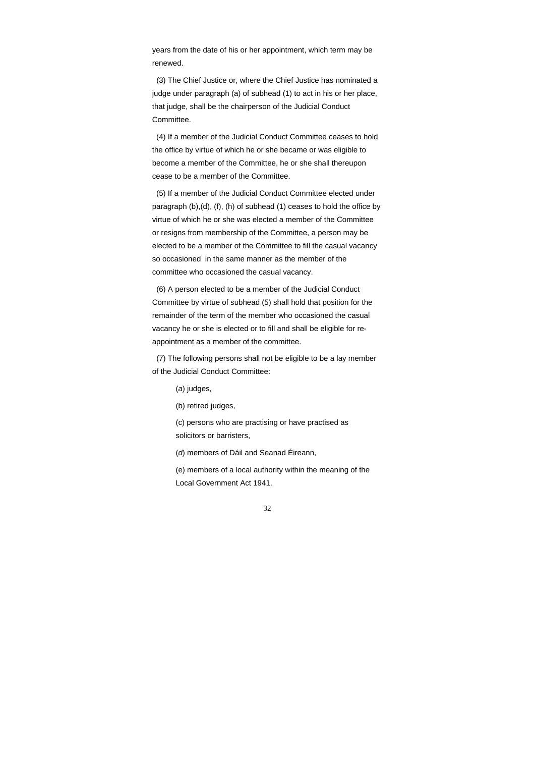years from the date of his or her appointment, which term may be renewed.

 (3) The Chief Justice or, where the Chief Justice has nominated a judge under paragraph (a) of subhead (1) to act in his or her place, that judge, shall be the chairperson of the Judicial Conduct Committee.

 (4) If a member of the Judicial Conduct Committee ceases to hold the office by virtue of which he or she became or was eligible to become a member of the Committee, he or she shall thereupon cease to be a member of the Committee.

 (5) If a member of the Judicial Conduct Committee elected under paragraph (b),(d), (f), (h) of subhead (1) ceases to hold the office by virtue of which he or she was elected a member of the Committee or resigns from membership of the Committee, a person may be elected to be a member of the Committee to fill the casual vacancy so occasioned in the same manner as the member of the committee who occasioned the casual vacancy.

 (6) A person elected to be a member of the Judicial Conduct Committee by virtue of subhead (5) shall hold that position for the remainder of the term of the member who occasioned the casual vacancy he or she is elected or to fill and shall be eligible for reappointment as a member of the committee.

 (7) The following persons shall not be eligible to be a lay member of the Judicial Conduct Committee:

(*a*) judges,

(b) retired judges,

(c) persons who are practising or have practised as solicitors or barristers,

(*d*) members of Dáil and Seanad Éireann,

 (e) members of a local authority within the meaning of the Local Government Act 1941.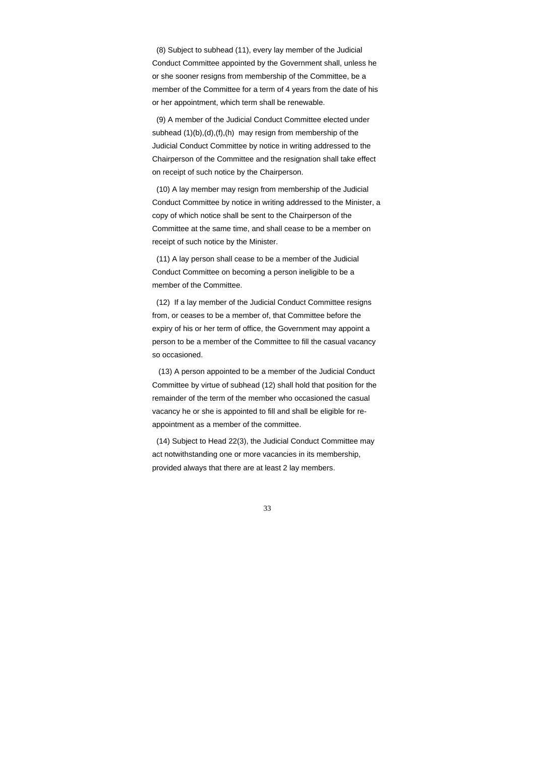(8) Subject to subhead (11), every lay member of the Judicial Conduct Committee appointed by the Government shall, unless he or she sooner resigns from membership of the Committee, be a member of the Committee for a term of 4 years from the date of his or her appointment, which term shall be renewable.

 (9) A member of the Judicial Conduct Committee elected under subhead (1)(b),(d),(f),(h) may resign from membership of the Judicial Conduct Committee by notice in writing addressed to the Chairperson of the Committee and the resignation shall take effect on receipt of such notice by the Chairperson.

 (10) A lay member may resign from membership of the Judicial Conduct Committee by notice in writing addressed to the Minister, a copy of which notice shall be sent to the Chairperson of the Committee at the same time, and shall cease to be a member on receipt of such notice by the Minister.

 (11) A lay person shall cease to be a member of the Judicial Conduct Committee on becoming a person ineligible to be a member of the Committee.

 (12) If a lay member of the Judicial Conduct Committee resigns from, or ceases to be a member of, that Committee before the expiry of his or her term of office, the Government may appoint a person to be a member of the Committee to fill the casual vacancy so occasioned.

 (13) A person appointed to be a member of the Judicial Conduct Committee by virtue of subhead (12) shall hold that position for the remainder of the term of the member who occasioned the casual vacancy he or she is appointed to fill and shall be eligible for reappointment as a member of the committee.

 (14) Subject to Head 22(3), the Judicial Conduct Committee may act notwithstanding one or more vacancies in its membership, provided always that there are at least 2 lay members.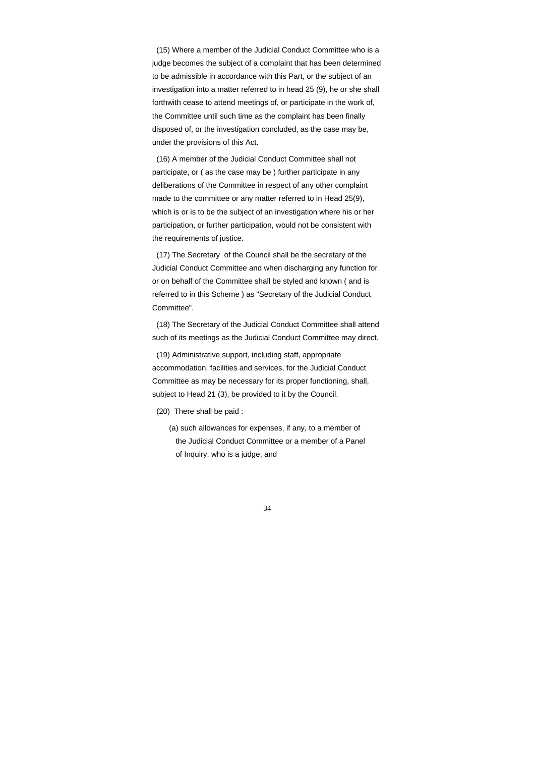(15) Where a member of the Judicial Conduct Committee who is a judge becomes the subject of a complaint that has been determined to be admissible in accordance with this Part, or the subject of an investigation into a matter referred to in head 25 (9), he or she shall forthwith cease to attend meetings of, or participate in the work of, the Committee until such time as the complaint has been finally disposed of, or the investigation concluded, as the case may be, under the provisions of this Act.

 (16) A member of the Judicial Conduct Committee shall not participate, or ( as the case may be ) further participate in any deliberations of the Committee in respect of any other complaint made to the committee or any matter referred to in Head 25(9), which is or is to be the subject of an investigation where his or her participation, or further participation, would not be consistent with the requirements of justice.

 (17) The Secretary of the Council shall be the secretary of the Judicial Conduct Committee and when discharging any function for or on behalf of the Committee shall be styled and known ( and is referred to in this Scheme ) as "Secretary of the Judicial Conduct Committee".

 (18) The Secretary of the Judicial Conduct Committee shall attend such of its meetings as the Judicial Conduct Committee may direct.

 (19) Administrative support, including staff, appropriate accommodation, facilities and services, for the Judicial Conduct Committee as may be necessary for its proper functioning, shall, subject to Head 21 (3), be provided to it by the Council.

- (20) There shall be paid :
	- (a) such allowances for expenses, if any, to a member of the Judicial Conduct Committee or a member of a Panel of Inquiry, who is a judge, and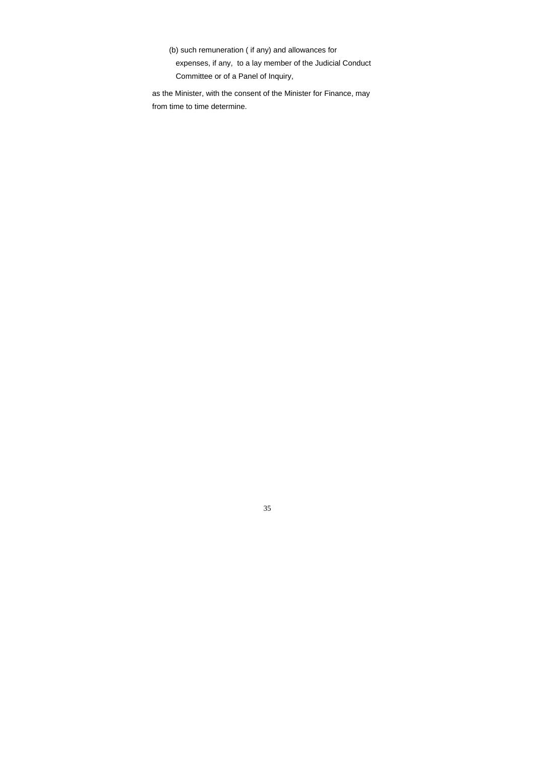(b) such remuneration ( if any) and allowances for expenses, if any, to a lay member of the Judicial Conduct Committee or of a Panel of Inquiry,

as the Minister, with the consent of the Minister for Finance, may from time to time determine.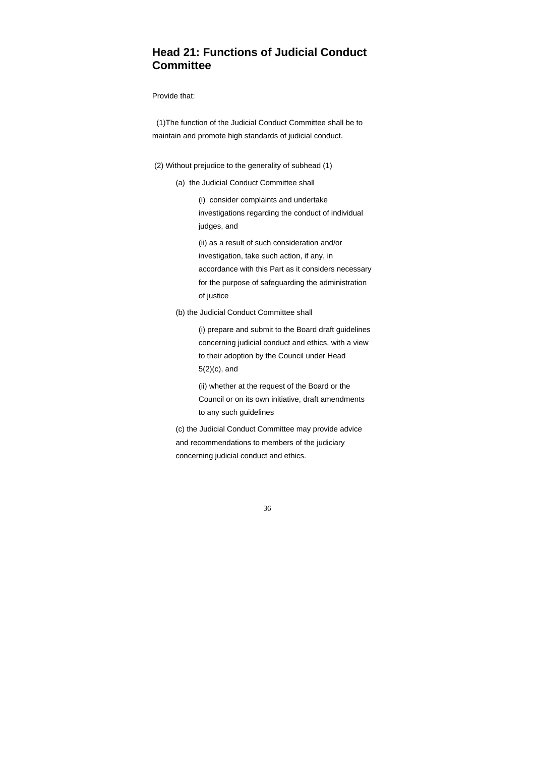# **Head 21: Functions of Judicial Conduct Committee**

#### Provide that:

 (1)The function of the Judicial Conduct Committee shall be to maintain and promote high standards of judicial conduct.

- (2) Without prejudice to the generality of subhead (1)
	- (a) the Judicial Conduct Committee shall

 (i) consider complaints and undertake investigations regarding the conduct of individual judges, and

 (ii) as a result of such consideration and/or investigation, take such action, if any, in accordance with this Part as it considers necessary for the purpose of safeguarding the administration of justice

(b) the Judicial Conduct Committee shall

 (i) prepare and submit to the Board draft guidelines concerning judicial conduct and ethics, with a view to their adoption by the Council under Head 5(2)(c), and

 (ii) whether at the request of the Board or the Council or on its own initiative, draft amendments to any such guidelines

 (c) the Judicial Conduct Committee may provide advice and recommendations to members of the judiciary concerning judicial conduct and ethics.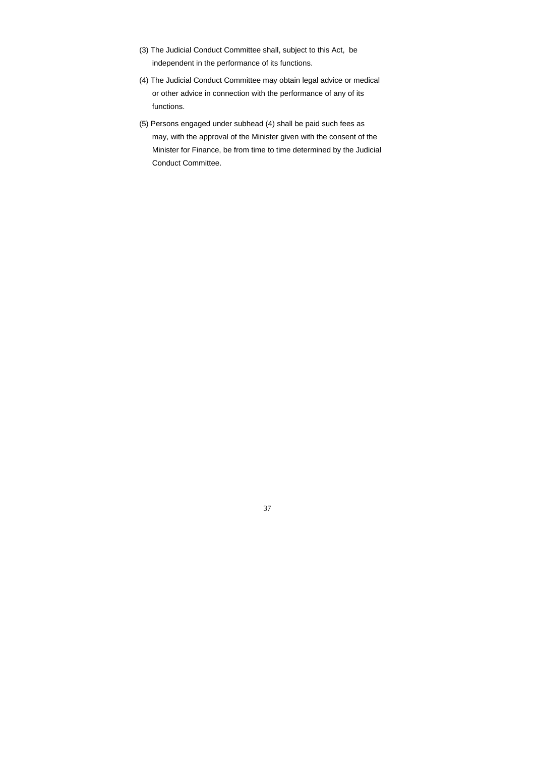- (3) The Judicial Conduct Committee shall, subject to this Act, be independent in the performance of its functions.
- (4) The Judicial Conduct Committee may obtain legal advice or medical or other advice in connection with the performance of any of its functions.
- (5) Persons engaged under subhead (4) shall be paid such fees as may, with the approval of the Minister given with the consent of the Minister for Finance, be from time to time determined by the Judicial Conduct Committee.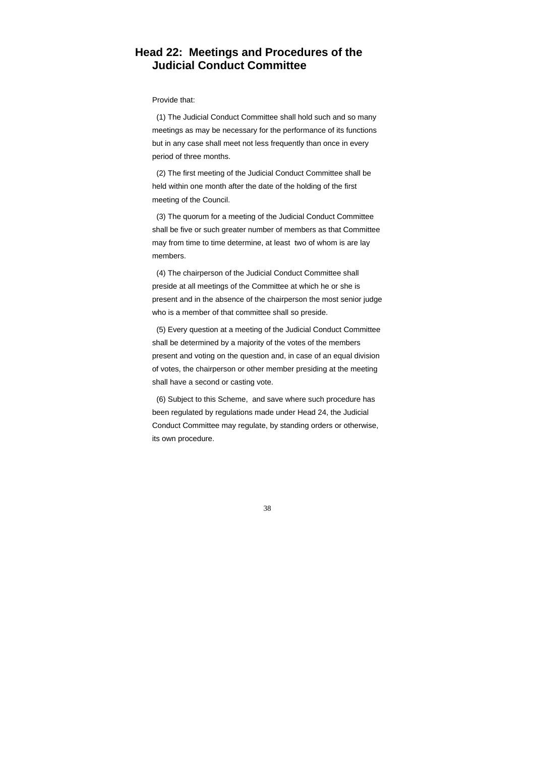## **Head 22: Meetings and Procedures of the Judicial Conduct Committee**

#### Provide that:

 (1) The Judicial Conduct Committee shall hold such and so many meetings as may be necessary for the performance of its functions but in any case shall meet not less frequently than once in every period of three months.

 (2) The first meeting of the Judicial Conduct Committee shall be held within one month after the date of the holding of the first meeting of the Council.

 (3) The quorum for a meeting of the Judicial Conduct Committee shall be five or such greater number of members as that Committee may from time to time determine, at least two of whom is are lay members.

 (4) The chairperson of the Judicial Conduct Committee shall preside at all meetings of the Committee at which he or she is present and in the absence of the chairperson the most senior judge who is a member of that committee shall so preside.

 (5) Every question at a meeting of the Judicial Conduct Committee shall be determined by a majority of the votes of the members present and voting on the question and, in case of an equal division of votes, the chairperson or other member presiding at the meeting shall have a second or casting vote.

 (6) Subject to this Scheme, and save where such procedure has been regulated by regulations made under Head 24, the Judicial Conduct Committee may regulate, by standing orders or otherwise, its own procedure.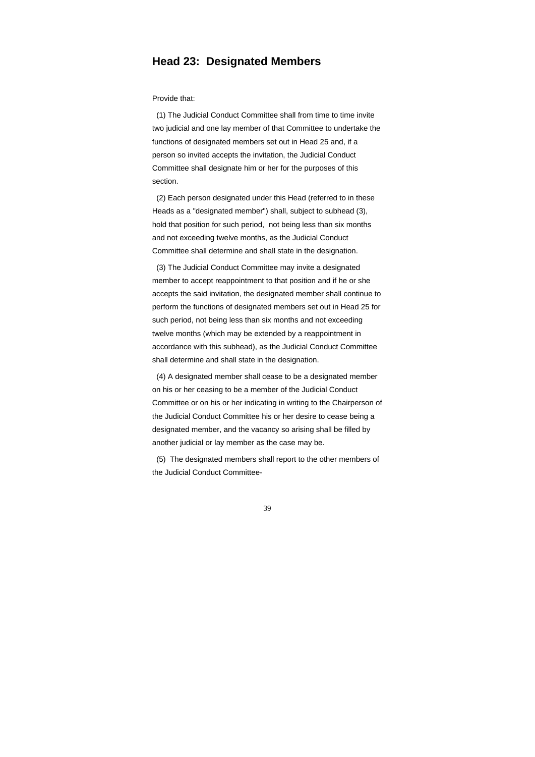### **Head 23: Designated Members**

Provide that:

 (1) The Judicial Conduct Committee shall from time to time invite two judicial and one lay member of that Committee to undertake the functions of designated members set out in Head 25 and, if a person so invited accepts the invitation, the Judicial Conduct Committee shall designate him or her for the purposes of this section.

 (2) Each person designated under this Head (referred to in these Heads as a "designated member") shall, subject to subhead (3), hold that position for such period, not being less than six months and not exceeding twelve months, as the Judicial Conduct Committee shall determine and shall state in the designation.

 (3) The Judicial Conduct Committee may invite a designated member to accept reappointment to that position and if he or she accepts the said invitation, the designated member shall continue to perform the functions of designated members set out in Head 25 for such period, not being less than six months and not exceeding twelve months (which may be extended by a reappointment in accordance with this subhead), as the Judicial Conduct Committee shall determine and shall state in the designation.

 (4) A designated member shall cease to be a designated member on his or her ceasing to be a member of the Judicial Conduct Committee or on his or her indicating in writing to the Chairperson of the Judicial Conduct Committee his or her desire to cease being a designated member, and the vacancy so arising shall be filled by another judicial or lay member as the case may be.

 (5) The designated members shall report to the other members of the Judicial Conduct Committee-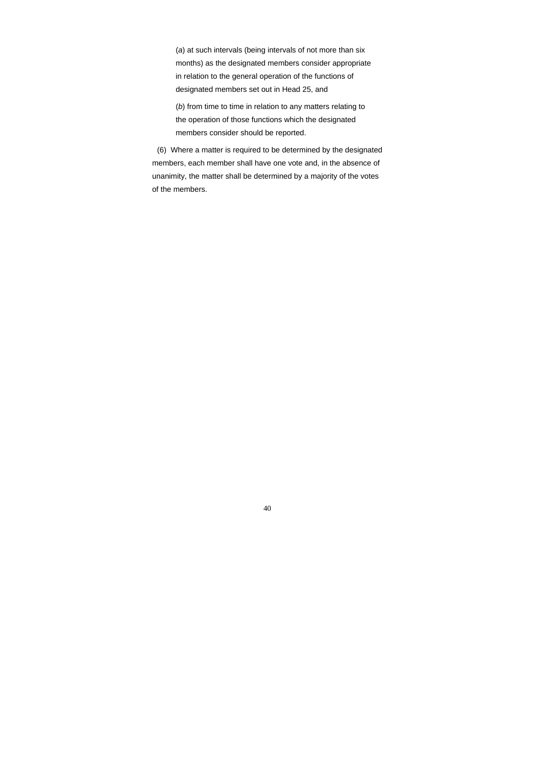(*a*) at such intervals (being intervals of not more than six months) as the designated members consider appropriate in relation to the general operation of the functions of designated members set out in Head 25, and

 (*b*) from time to time in relation to any matters relating to the operation of those functions which the designated members consider should be reported.

 (6) Where a matter is required to be determined by the designated members, each member shall have one vote and, in the absence of unanimity, the matter shall be determined by a majority of the votes of the members.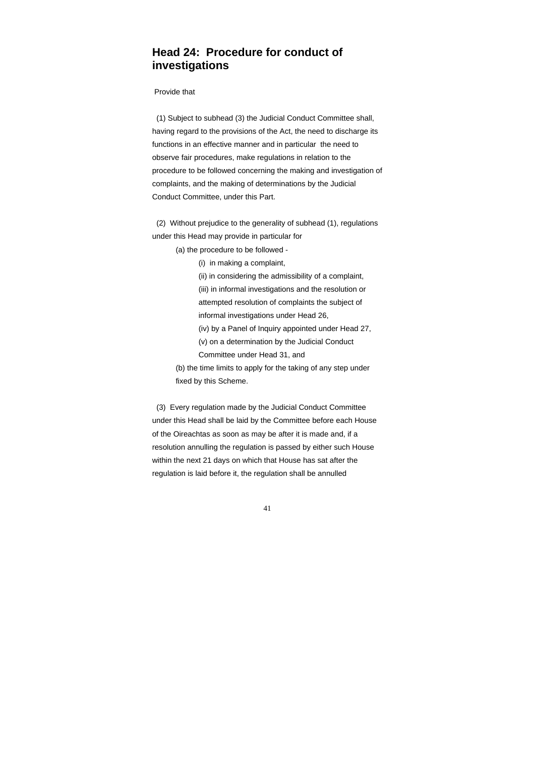## **Head 24: Procedure for conduct of investigations**

Provide that

 (1) Subject to subhead (3) the Judicial Conduct Committee shall, having regard to the provisions of the Act, the need to discharge its functions in an effective manner and in particular the need to observe fair procedures, make regulations in relation to the procedure to be followed concerning the making and investigation of complaints, and the making of determinations by the Judicial Conduct Committee, under this Part.

 (2) Without prejudice to the generality of subhead (1), regulations under this Head may provide in particular for

(a) the procedure to be followed -

(i) in making a complaint,

 (ii) in considering the admissibility of a complaint, (iii) in informal investigations and the resolution or attempted resolution of complaints the subject of informal investigations under Head 26,

 (iv) by a Panel of Inquiry appointed under Head 27, (v) on a determination by the Judicial Conduct

Committee under Head 31, and

 (b) the time limits to apply for the taking of any step under fixed by this Scheme.

 (3) Every regulation made by the Judicial Conduct Committee under this Head shall be laid by the Committee before each House of the Oireachtas as soon as may be after it is made and, if a resolution annulling the regulation is passed by either such House within the next 21 days on which that House has sat after the regulation is laid before it, the regulation shall be annulled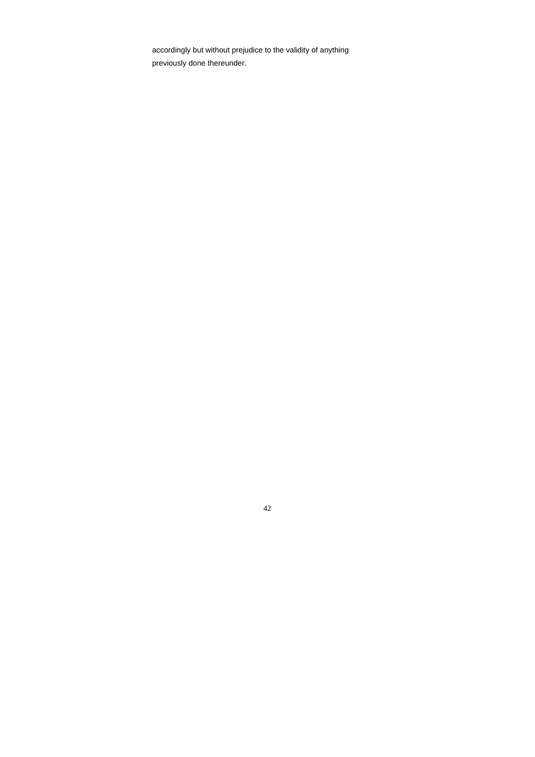accordingly but without prejudice to the validity of anything previously done thereunder.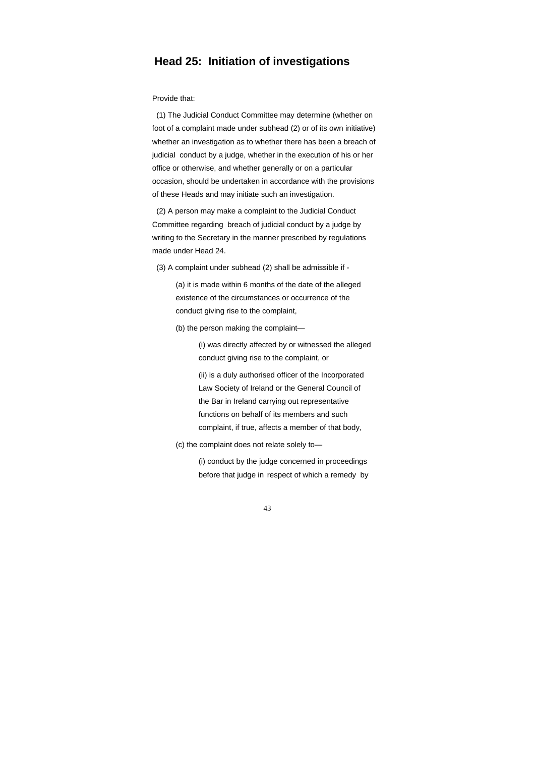### **Head 25: Initiation of investigations**

Provide that:

 (1) The Judicial Conduct Committee may determine (whether on foot of a complaint made under subhead (2) or of its own initiative) whether an investigation as to whether there has been a breach of judicial conduct by a judge, whether in the execution of his or her office or otherwise, and whether generally or on a particular occasion, should be undertaken in accordance with the provisions of these Heads and may initiate such an investigation.

 (2) A person may make a complaint to the Judicial Conduct Committee regarding breach of judicial conduct by a judge by writing to the Secretary in the manner prescribed by regulations made under Head 24.

(3) A complaint under subhead (2) shall be admissible if -

 (a) it is made within 6 months of the date of the alleged existence of the circumstances or occurrence of the conduct giving rise to the complaint,

(b) the person making the complaint—

 (i) was directly affected by or witnessed the alleged conduct giving rise to the complaint, or

 (ii) is a duly authorised officer of the Incorporated Law Society of Ireland or the General Council of the Bar in Ireland carrying out representative functions on behalf of its members and such complaint, if true, affects a member of that body,

(c) the complaint does not relate solely to—

 (i) conduct by the judge concerned in proceedings before that judge in respect of which a remedy by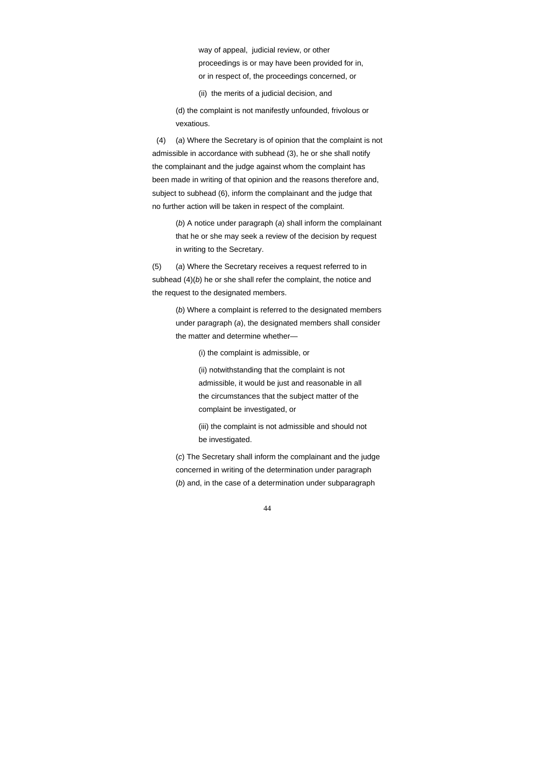way of appeal, judicial review, or other proceedings is or may have been provided for in, or in respect of, the proceedings concerned, or

(ii) the merits of a judicial decision, and

 (d) the complaint is not manifestly unfounded, frivolous or vexatious.

 (4) (*a*) Where the Secretary is of opinion that the complaint is not admissible in accordance with subhead (3), he or she shall notify the complainant and the judge against whom the complaint has been made in writing of that opinion and the reasons therefore and, subject to subhead (6), inform the complainant and the judge that no further action will be taken in respect of the complaint.

 (*b*) A notice under paragraph (*a*) shall inform the complainant that he or she may seek a review of the decision by request in writing to the Secretary.

 (5) (*a*) Where the Secretary receives a request referred to in subhead (4)(*b*) he or she shall refer the complaint, the notice and the request to the designated members.

> (*b*) Where a complaint is referred to the designated members under paragraph (*a*), the designated members shall consider the matter and determine whether—

> > (i) the complaint is admissible, or

 (ii) notwithstanding that the complaint is not admissible, it would be just and reasonable in all the circumstances that the subject matter of the complaint be investigated, or

 (iii) the complaint is not admissible and should not be investigated.

 (*c*) The Secretary shall inform the complainant and the judge concerned in writing of the determination under paragraph (*b*) and, in the case of a determination under subparagraph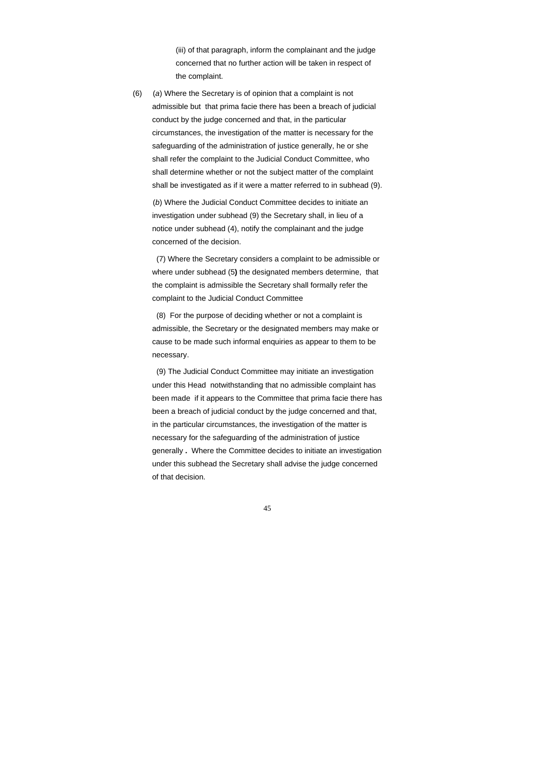(iii) of that paragraph, inform the complainant and the judge concerned that no further action will be taken in respect of the complaint.

 (6) (*a*) Where the Secretary is of opinion that a complaint is not admissible but that prima facie there has been a breach of judicial conduct by the judge concerned and that, in the particular circumstances, the investigation of the matter is necessary for the safeguarding of the administration of justice generally, he or she shall refer the complaint to the Judicial Conduct Committee, who shall determine whether or not the subject matter of the complaint shall be investigated as if it were a matter referred to in subhead (9).

 (*b*) Where the Judicial Conduct Committee decides to initiate an investigation under subhead (9) the Secretary shall, in lieu of a notice under subhead (4), notify the complainant and the judge concerned of the decision.

 (7) Where the Secretary considers a complaint to be admissible or where under subhead (5**)** the designated members determine, that the complaint is admissible the Secretary shall formally refer the complaint to the Judicial Conduct Committee

 (8) For the purpose of deciding whether or not a complaint is admissible, the Secretary or the designated members may make or cause to be made such informal enquiries as appear to them to be necessary.

 (9) The Judicial Conduct Committee may initiate an investigation under this Head notwithstanding that no admissible complaint has been made if it appears to the Committee that prima facie there has been a breach of judicial conduct by the judge concerned and that, in the particular circumstances, the investigation of the matter is necessary for the safeguarding of the administration of justice generally **.** Where the Committee decides to initiate an investigation under this subhead the Secretary shall advise the judge concerned of that decision.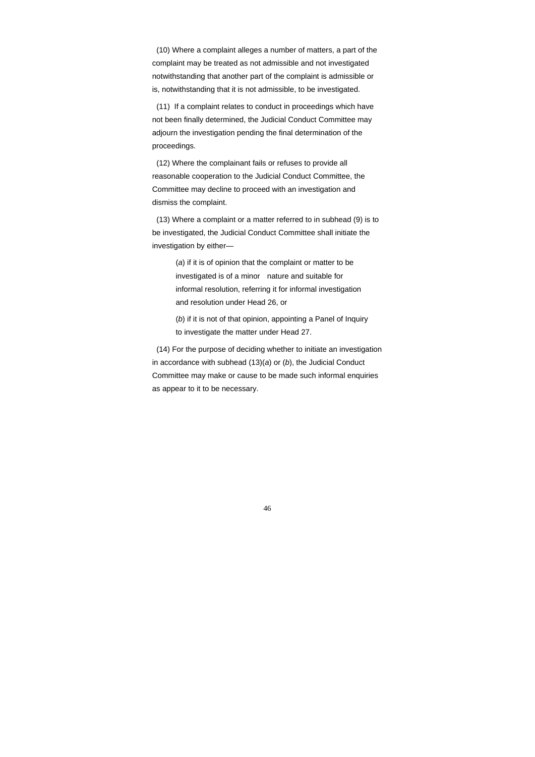46

 (10) Where a complaint alleges a number of matters, a part of the complaint may be treated as not admissible and not investigated notwithstanding that another part of the complaint is admissible or is, notwithstanding that it is not admissible, to be investigated.

 (11) If a complaint relates to conduct in proceedings which have not been finally determined, the Judicial Conduct Committee may adjourn the investigation pending the final determination of the proceedings.

 (12) Where the complainant fails or refuses to provide all reasonable cooperation to the Judicial Conduct Committee, the Committee may decline to proceed with an investigation and dismiss the complaint.

 (13) Where a complaint or a matter referred to in subhead (9) is to be investigated, the Judicial Conduct Committee shall initiate the investigation by either—

> (*a*) if it is of opinion that the complaint or matter to be investigated is of a minor nature and suitable for informal resolution, referring it for informal investigation and resolution under Head 26, or

 (*b*) if it is not of that opinion, appointing a Panel of Inquiry to investigate the matter under Head 27.

 (14) For the purpose of deciding whether to initiate an investigation in accordance with subhead (13)(*a*) or (*b*), the Judicial Conduct Committee may make or cause to be made such informal enquiries as appear to it to be necessary.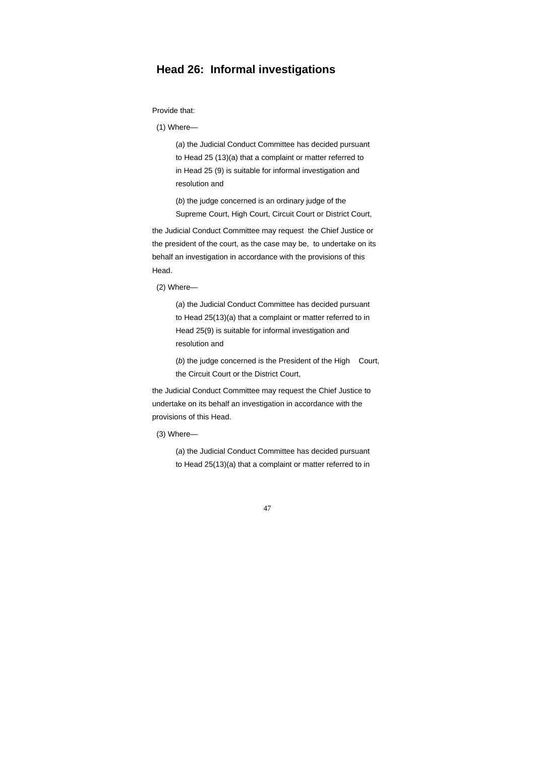## **Head 26: Informal investigations**

Provide that:

(1) Where—

 (*a*) the Judicial Conduct Committee has decided pursuant to Head 25 (13)(a) that a complaint or matter referred to in Head 25 (9) is suitable for informal investigation and resolution and

 (*b*) the judge concerned is an ordinary judge of the Supreme Court, High Court, Circuit Court or District Court,

(b) the judge concerned is the President of the High Court, the Circuit Court or the District Court,

the Judicial Conduct Committee may request the Chief Justice or the president of the court, as the case may be, to undertake on its behalf an investigation in accordance with the provisions of this Head.

(2) Where—

 (*a*) the Judicial Conduct Committee has decided pursuant to Head 25(13)(a) that a complaint or matter referred to in Head 25(9) is suitable for informal investigation and resolution and

the Judicial Conduct Committee may request the Chief Justice to undertake on its behalf an investigation in accordance with the provisions of this Head.

(3) Where—

 (*a*) the Judicial Conduct Committee has decided pursuant to Head 25(13)(a) that a complaint or matter referred to in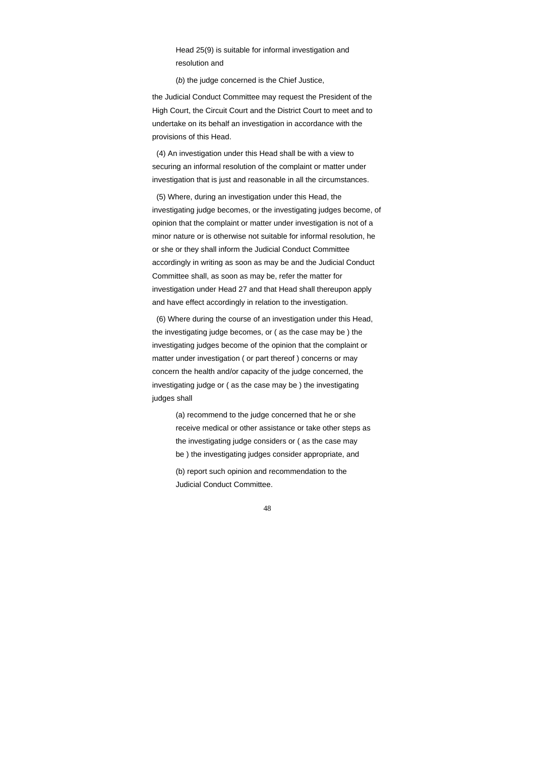Head 25(9) is suitable for informal investigation and resolution and

(*b*) the judge concerned is the Chief Justice,

the Judicial Conduct Committee may request the President of the High Court, the Circuit Court and the District Court to meet and to undertake on its behalf an investigation in accordance with the provisions of this Head.

 (4) An investigation under this Head shall be with a view to securing an informal resolution of the complaint or matter under investigation that is just and reasonable in all the circumstances.

 (5) Where, during an investigation under this Head, the investigating judge becomes, or the investigating judges become, of opinion that the complaint or matter under investigation is not of a minor nature or is otherwise not suitable for informal resolution, he or she or they shall inform the Judicial Conduct Committee accordingly in writing as soon as may be and the Judicial Conduct Committee shall, as soon as may be, refer the matter for investigation under Head 27 and that Head shall thereupon apply and have effect accordingly in relation to the investigation.

 (6) Where during the course of an investigation under this Head, the investigating judge becomes, or ( as the case may be ) the investigating judges become of the opinion that the complaint or matter under investigation ( or part thereof ) concerns or may concern the health and/or capacity of the judge concerned, the investigating judge or ( as the case may be ) the investigating judges shall

 (a) recommend to the judge concerned that he or she receive medical or other assistance or take other steps as the investigating judge considers or ( as the case may be ) the investigating judges consider appropriate, and (b) report such opinion and recommendation to the Judicial Conduct Committee.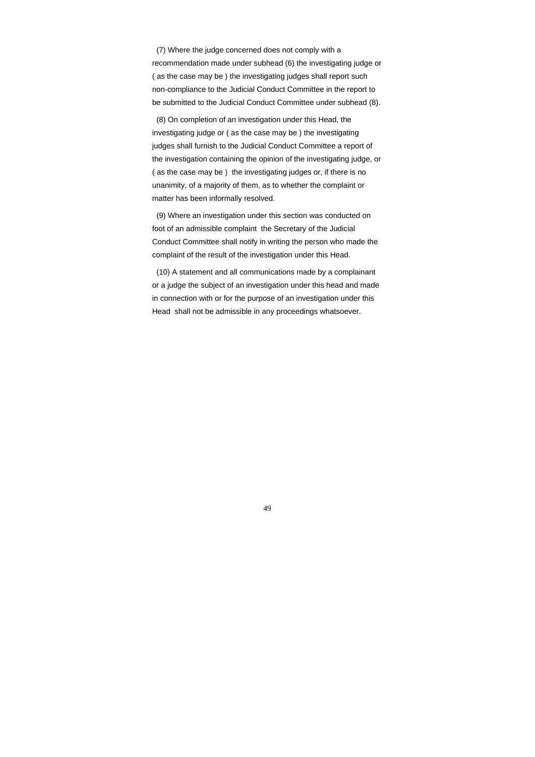(7) Where the judge concerned does not comply with a recommendation made under subhead (6) the investigating judge or ( as the case may be ) the investigating judges shall report such non-compliance to the Judicial Conduct Committee in the report to be submitted to the Judicial Conduct Committee under subhead (8).

 (8) On completion of an investigation under this Head, the investigating judge or ( as the case may be ) the investigating judges shall furnish to the Judicial Conduct Committee a report of the investigation containing the opinion of the investigating judge, or ( as the case may be ) the investigating judges or, if there is no unanimity, of a majority of them, as to whether the complaint or matter has been informally resolved.

 (9) Where an investigation under this section was conducted on foot of an admissible complaint the Secretary of the Judicial Conduct Committee shall notify in writing the person who made the complaint of the result of the investigation under this Head.

 (10) A statement and all communications made by a complainant or a judge the subject of an investigation under this head and made in connection with or for the purpose of an investigation under this Head shall not be admissible in any proceedings whatsoever.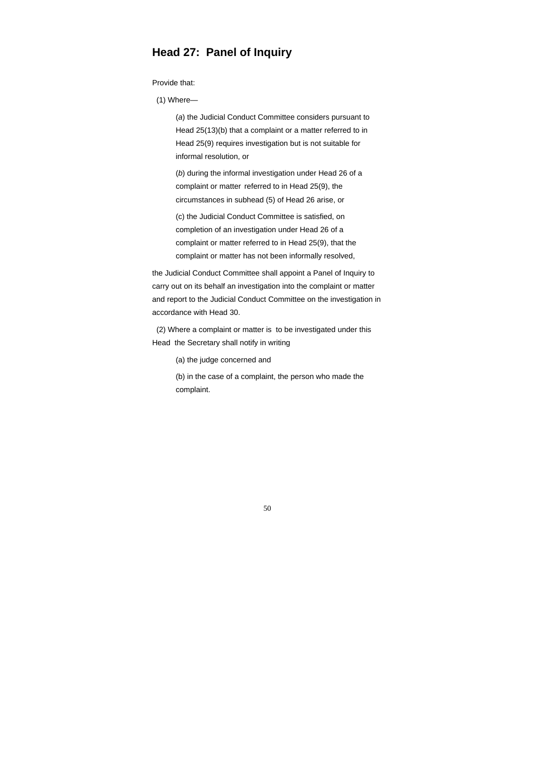### **Head 27: Panel of Inquiry**

Provide that:

(1) Where—

 (*a*) the Judicial Conduct Committee considers pursuant to Head 25(13)(b) that a complaint or a matter referred to in Head 25(9) requires investigation but is not suitable for informal resolution, or

 (*b*) during the informal investigation under Head 26 of a complaint or matter referred to in Head 25(9), the circumstances in subhead (5) of Head 26 arise, or

 (c) the Judicial Conduct Committee is satisfied, on completion of an investigation under Head 26 of a complaint or matter referred to in Head 25(9), that the complaint or matter has not been informally resolved,

the Judicial Conduct Committee shall appoint a Panel of Inquiry to carry out on its behalf an investigation into the complaint or matter and report to the Judicial Conduct Committee on the investigation in accordance with Head 30.

 (2) Where a complaint or matter is to be investigated under this Head the Secretary shall notify in writing

(a) the judge concerned and

 (b) in the case of a complaint, the person who made the complaint.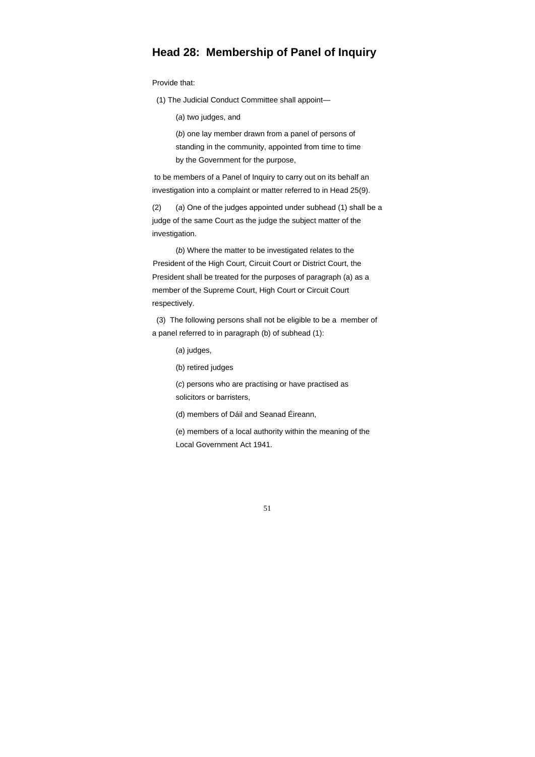### **Head 28: Membership of Panel of Inquiry**

Provide that:

(1) The Judicial Conduct Committee shall appoint—

(*a*) two judges, and

 (*b*) one lay member drawn from a panel of persons of standing in the community, appointed from time to time by the Government for the purpose,

 to be members of a Panel of Inquiry to carry out on its behalf an investigation into a complaint or matter referred to in Head 25(9).

 (2) (*a*) One of the judges appointed under subhead (1) shall be a judge of the same Court as the judge the subject matter of the investigation.

 (*b*) Where the matter to be investigated relates to the President of the High Court, Circuit Court or District Court, the President shall be treated for the purposes of paragraph (a) as a member of the Supreme Court, High Court or Circuit Court respectively.

 (3) The following persons shall not be eligible to be a member of a panel referred to in paragraph (b) of subhead (1):

(*a*) judges,

(b) retired judges

 (*c*) persons who are practising or have practised as solicitors or barristers,

(d) members of Dáil and Seanad Éireann,

 (e) members of a local authority within the meaning of the Local Government Act 1941.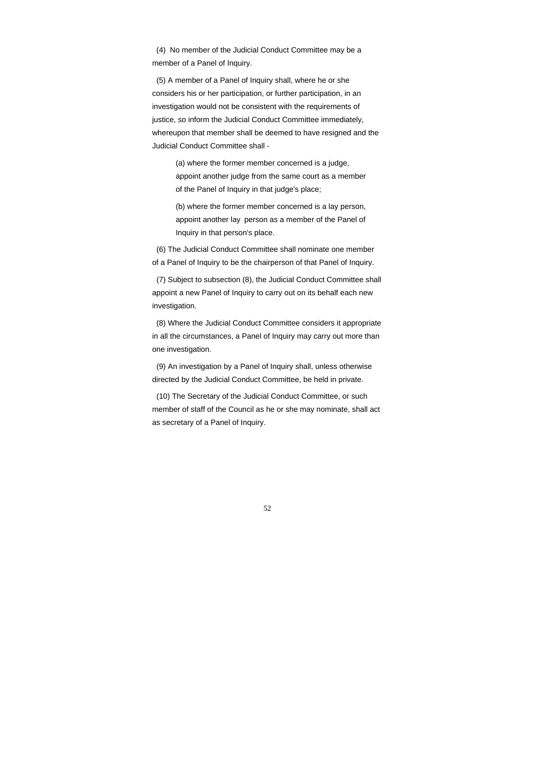(4) No member of the Judicial Conduct Committee may be a member of a Panel of Inquiry.

 (5) A member of a Panel of Inquiry shall, where he or she considers his or her participation, or further participation, in an investigation would not be consistent with the requirements of justice, so inform the Judicial Conduct Committee immediately, whereupon that member shall be deemed to have resigned and the Judicial Conduct Committee shall -

 (a) where the former member concerned is a judge, appoint another judge from the same court as a member of the Panel of Inquiry in that judge's place;

 (b) where the former member concerned is a lay person, appoint another lay person as a member of the Panel of Inquiry in that person's place.

 (6) The Judicial Conduct Committee shall nominate one member of a Panel of Inquiry to be the chairperson of that Panel of Inquiry.

 (7) Subject to subsection (8), the Judicial Conduct Committee shall appoint a new Panel of Inquiry to carry out on its behalf each new investigation.

 (8) Where the Judicial Conduct Committee considers it appropriate in all the circumstances, a Panel of Inquiry may carry out more than one investigation.

 (9) An investigation by a Panel of Inquiry shall, unless otherwise directed by the Judicial Conduct Committee, be held in private.

 (10) The Secretary of the Judicial Conduct Committee, or such member of staff of the Council as he or she may nominate, shall act as secretary of a Panel of Inquiry.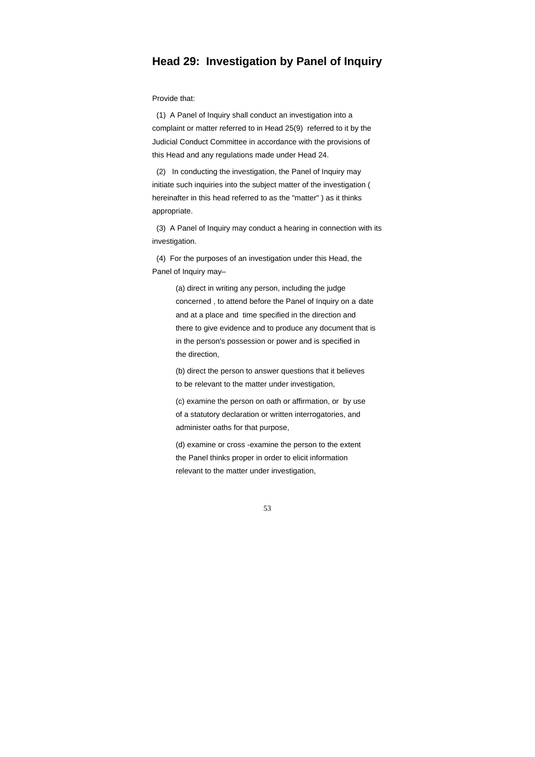### **Head 29: Investigation by Panel of Inquiry**

Provide that:

 (1) A Panel of Inquiry shall conduct an investigation into a complaint or matter referred to in Head 25(9) referred to it by the Judicial Conduct Committee in accordance with the provisions of this Head and any regulations made under Head 24.

 (2) In conducting the investigation, the Panel of Inquiry may initiate such inquiries into the subject matter of the investigation ( hereinafter in this head referred to as the "matter" ) as it thinks appropriate.

 (3) A Panel of Inquiry may conduct a hearing in connection with its investigation.

 (4) For the purposes of an investigation under this Head, the Panel of Inquiry may–

> (a) direct in writing any person, including the judge concerned , to attend before the Panel of Inquiry on a date and at a place and time specified in the direction and there to give evidence and to produce any document that is in the person's possession or power and is specified in the direction,

 (b) direct the person to answer questions that it believes to be relevant to the matter under investigation,

 (c) examine the person on oath or affirmation, or by use of a statutory declaration or written interrogatories, and administer oaths for that purpose,

 (d) examine or cross -examine the person to the extent the Panel thinks proper in order to elicit information relevant to the matter under investigation,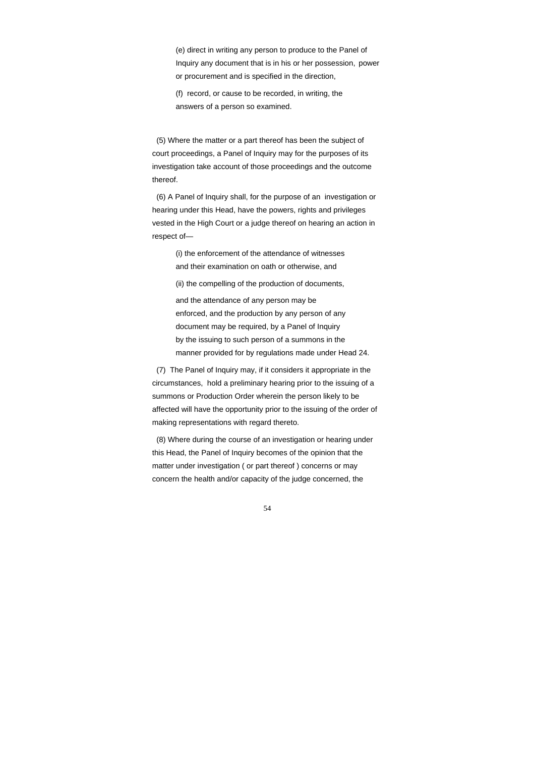(e) direct in writing any person to produce to the Panel of Inquiry any document that is in his or her possession, power or procurement and is specified in the direction,

 (f) record, or cause to be recorded, in writing, the answers of a person so examined.

 (5) Where the matter or a part thereof has been the subject of court proceedings, a Panel of Inquiry may for the purposes of its investigation take account of those proceedings and the outcome thereof.

 (6) A Panel of Inquiry shall, for the purpose of an investigation or hearing under this Head, have the powers, rights and privileges vested in the High Court or a judge thereof on hearing an action in respect of—

> (i) the enforcement of the attendance of witnesses and their examination on oath or otherwise, and

> (ii) the compelling of the production of documents,

 and the attendance of any person may be enforced, and the production by any person of any document may be required, by a Panel of Inquiry by the issuing to such person of a summons in the manner provided for by regulations made under Head 24.

 (7) The Panel of Inquiry may, if it considers it appropriate in the circumstances, hold a preliminary hearing prior to the issuing of a summons or Production Order wherein the person likely to be affected will have the opportunity prior to the issuing of the order of making representations with regard thereto.

 (8) Where during the course of an investigation or hearing under this Head, the Panel of Inquiry becomes of the opinion that the matter under investigation ( or part thereof ) concerns or may concern the health and/or capacity of the judge concerned, the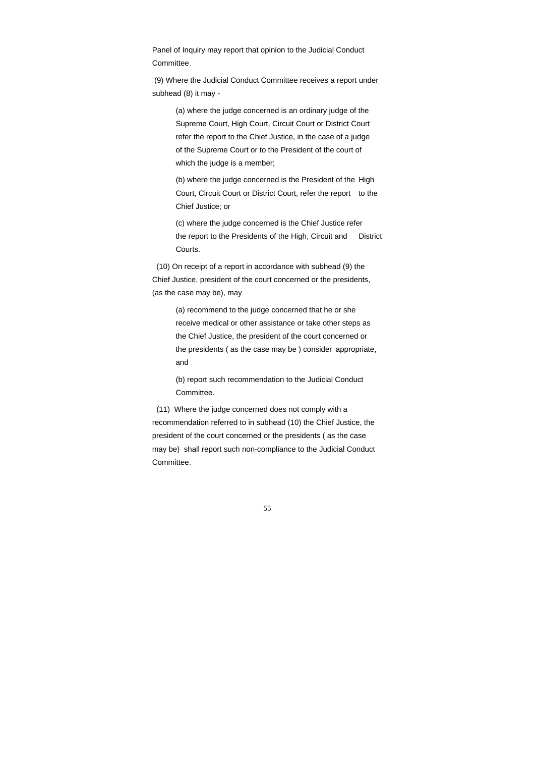Panel of Inquiry may report that opinion to the Judicial Conduct Committee.

 (9) Where the Judicial Conduct Committee receives a report under subhead (8) it may -

 (a) where the judge concerned is an ordinary judge of the Supreme Court, High Court, Circuit Court or District Court refer the report to the Chief Justice, in the case of a judge of the Supreme Court or to the President of the court of which the judge is a member;

 (b) where the judge concerned is the President of the High Court, Circuit Court or District Court, refer the report to the Chief Justice; or

 (c) where the judge concerned is the Chief Justice refer the report to the Presidents of the High, Circuit and District Courts.

 (10) On receipt of a report in accordance with subhead (9) the Chief Justice, president of the court concerned or the presidents, (as the case may be), may

> (a) recommend to the judge concerned that he or she receive medical or other assistance or take other steps as the Chief Justice, the president of the court concerned or the presidents ( as the case may be ) consider appropriate, and

 (b) report such recommendation to the Judicial Conduct Committee.

 (11) Where the judge concerned does not comply with a recommendation referred to in subhead (10) the Chief Justice, the president of the court concerned or the presidents ( as the case may be) shall report such non-compliance to the Judicial Conduct Committee.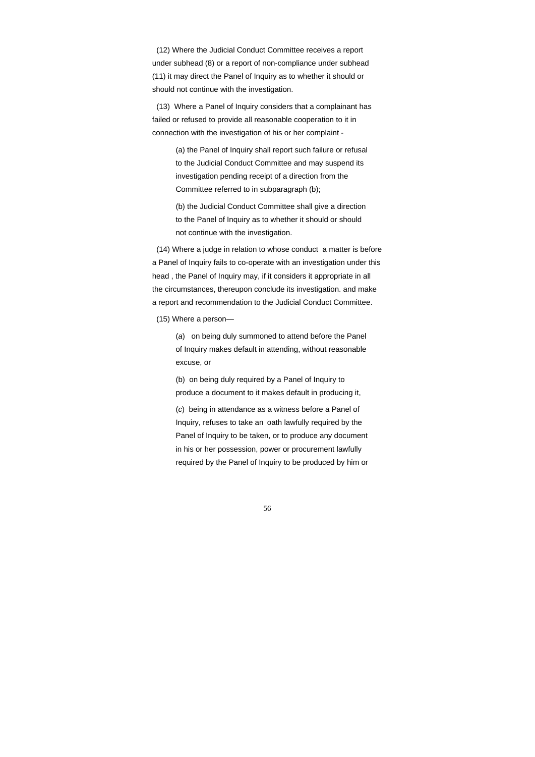56

 (12) Where the Judicial Conduct Committee receives a report under subhead (8) or a report of non-compliance under subhead (11) it may direct the Panel of Inquiry as to whether it should or should not continue with the investigation.

 (13) Where a Panel of Inquiry considers that a complainant has failed or refused to provide all reasonable cooperation to it in connection with the investigation of his or her complaint -

> (a) the Panel of Inquiry shall report such failure or refusal to the Judicial Conduct Committee and may suspend its investigation pending receipt of a direction from the Committee referred to in subparagraph (b);

> (b) the Judicial Conduct Committee shall give a direction to the Panel of Inquiry as to whether it should or should not continue with the investigation.

 (14) Where a judge in relation to whose conduct a matter is before a Panel of Inquiry fails to co-operate with an investigation under this head , the Panel of Inquiry may, if it considers it appropriate in all the circumstances, thereupon conclude its investigation. and make a report and recommendation to the Judicial Conduct Committee.

(15) Where a person—

 (*a*) on being duly summoned to attend before the Panel of Inquiry makes default in attending, without reasonable excuse, or

 (b) on being duly required by a Panel of Inquiry to produce a document to it makes default in producing it,

 (*c*) being in attendance as a witness before a Panel of Inquiry, refuses to take an oath lawfully required by the Panel of Inquiry to be taken, or to produce any document in his or her possession, power or procurement lawfully required by the Panel of Inquiry to be produced by him or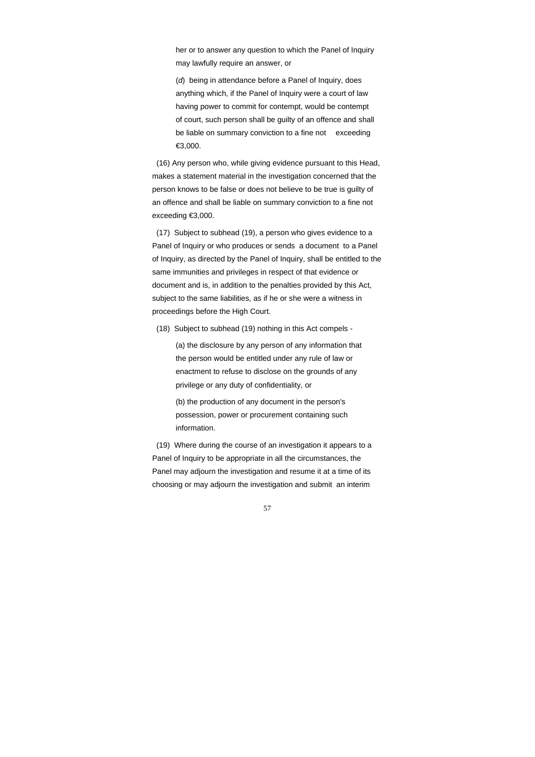her or to answer any question to which the Panel of Inquiry may lawfully require an answer, or

 (*d*) being in attendance before a Panel of Inquiry, does anything which, if the Panel of Inquiry were a court of law having power to commit for contempt, would be contempt of court, such person shall be guilty of an offence and shall be liable on summary conviction to a fine not exceeding €3,000.

 (16) Any person who, while giving evidence pursuant to this Head, makes a statement material in the investigation concerned that the person knows to be false or does not believe to be true is guilty of an offence and shall be liable on summary conviction to a fine not exceeding €3,000.

 (17) Subject to subhead (19), a person who gives evidence to a Panel of Inquiry or who produces or sends a document to a Panel of Inquiry, as directed by the Panel of Inquiry, shall be entitled to the same immunities and privileges in respect of that evidence or document and is, in addition to the penalties provided by this Act, subject to the same liabilities, as if he or she were a witness in proceedings before the High Court.

(18) Subject to subhead (19) nothing in this Act compels -

 (a) the disclosure by any person of any information that the person would be entitled under any rule of law or enactment to refuse to disclose on the grounds of any privilege or any duty of confidentiality, or

 (b) the production of any document in the person's possession, power or procurement containing such information.

 (19) Where during the course of an investigation it appears to a Panel of Inquiry to be appropriate in all the circumstances, the Panel may adjourn the investigation and resume it at a time of its choosing or may adjourn the investigation and submit an interim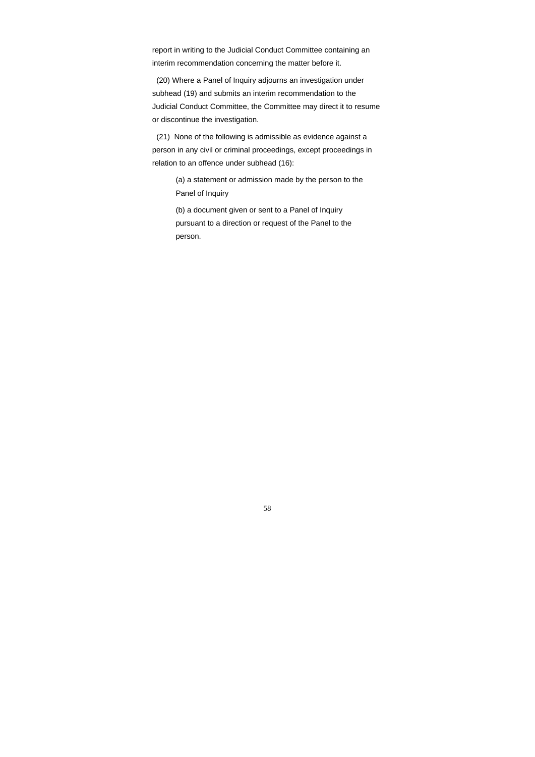report in writing to the Judicial Conduct Committee containing an interim recommendation concerning the matter before it.

 (20) Where a Panel of Inquiry adjourns an investigation under subhead (19) and submits an interim recommendation to the Judicial Conduct Committee, the Committee may direct it to resume or discontinue the investigation.

 (21) None of the following is admissible as evidence against a person in any civil or criminal proceedings, except proceedings in relation to an offence under subhead (16):

> (a) a statement or admission made by the person to the Panel of Inquiry

 (b) a document given or sent to a Panel of Inquiry pursuant to a direction or request of the Panel to the person.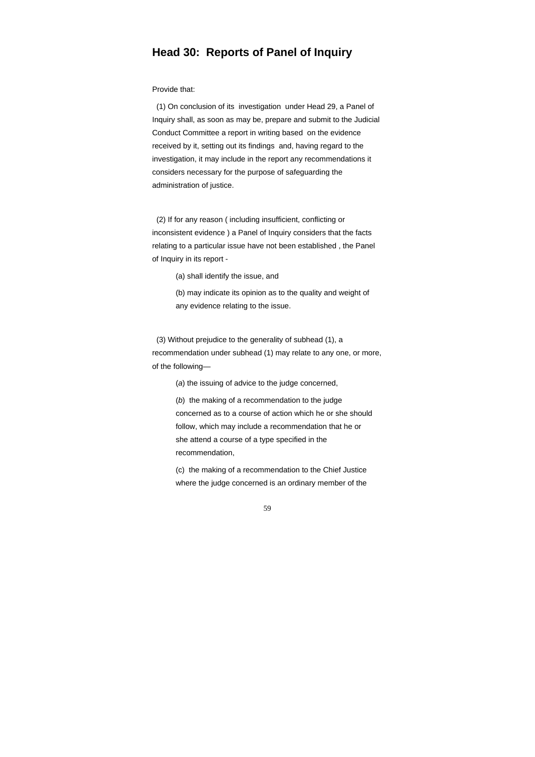### **Head 30: Reports of Panel of Inquiry**

#### Provide that:

 (1) On conclusion of its investigation under Head 29, a Panel of Inquiry shall, as soon as may be, prepare and submit to the Judicial Conduct Committee a report in writing based on the evidence received by it, setting out its findings and, having regard to the investigation, it may include in the report any recommendations it considers necessary for the purpose of safeguarding the administration of justice.

 (2) If for any reason ( including insufficient, conflicting or inconsistent evidence ) a Panel of Inquiry considers that the facts relating to a particular issue have not been established , the Panel of Inquiry in its report -

(a) shall identify the issue, and

 (b) may indicate its opinion as to the quality and weight of any evidence relating to the issue.

 (3) Without prejudice to the generality of subhead (1), a recommendation under subhead (1) may relate to any one, or more, of the following—

(*a*) the issuing of advice to the judge concerned,

 (*b*) the making of a recommendation to the judge concerned as to a course of action which he or she should follow, which may include a recommendation that he or she attend a course of a type specified in the recommendation,

 (c) the making of a recommendation to the Chief Justice where the judge concerned is an ordinary member of the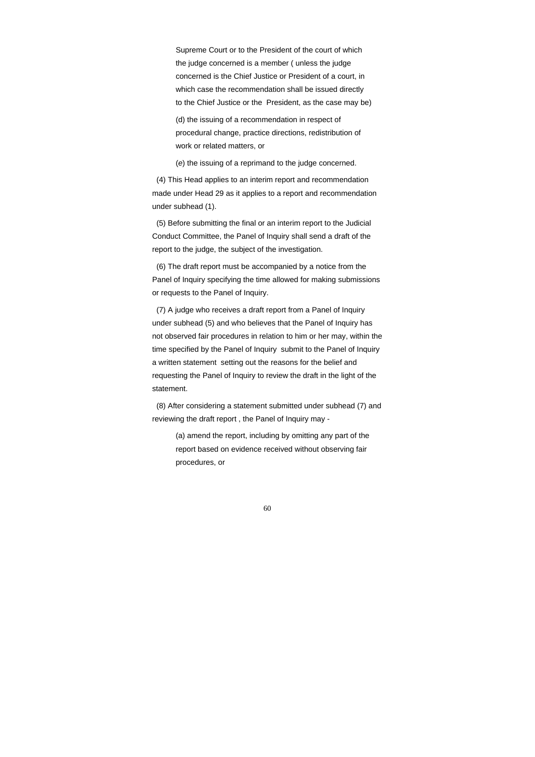Supreme Court or to the President of the court of which the judge concerned is a member ( unless the judge concerned is the Chief Justice or President of a court, in which case the recommendation shall be issued directly to the Chief Justice or the President, as the case may be)

 (d) the issuing of a recommendation in respect of procedural change, practice directions, redistribution of work or related matters, or

(*e*) the issuing of a reprimand to the judge concerned.

 (4) This Head applies to an interim report and recommendation made under Head 29 as it applies to a report and recommendation under subhead (1).

 (5) Before submitting the final or an interim report to the Judicial Conduct Committee, the Panel of Inquiry shall send a draft of the report to the judge, the subject of the investigation.

 (6) The draft report must be accompanied by a notice from the Panel of Inquiry specifying the time allowed for making submissions or requests to the Panel of Inquiry.

 (7) A judge who receives a draft report from a Panel of Inquiry under subhead (5) and who believes that the Panel of Inquiry has not observed fair procedures in relation to him or her may, within the time specified by the Panel of Inquiry submit to the Panel of Inquiry a written statement setting out the reasons for the belief and requesting the Panel of Inquiry to review the draft in the light of the statement.

 (8) After considering a statement submitted under subhead (7) and reviewing the draft report , the Panel of Inquiry may -

> (a) amend the report, including by omitting any part of the report based on evidence received without observing fair procedures, or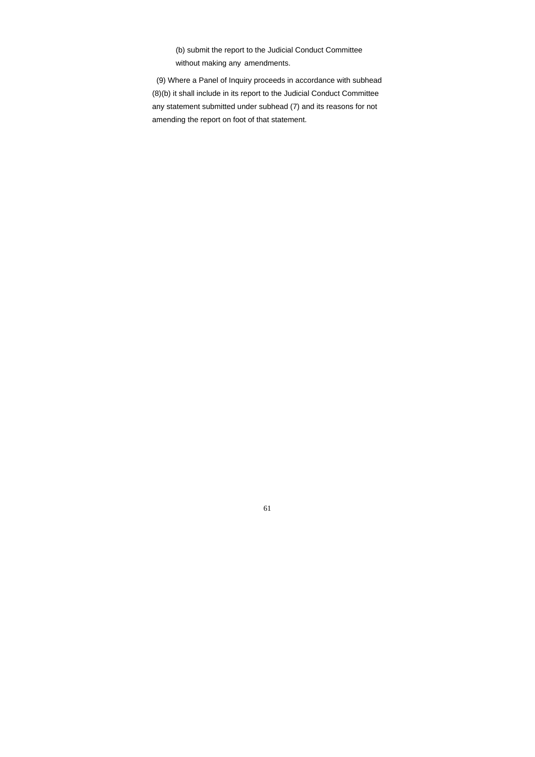(b) submit the report to the Judicial Conduct Committee without making any amendments.

 (9) Where a Panel of Inquiry proceeds in accordance with subhead (8)(b) it shall include in its report to the Judicial Conduct Committee any statement submitted under subhead (7) and its reasons for not amending the report on foot of that statement.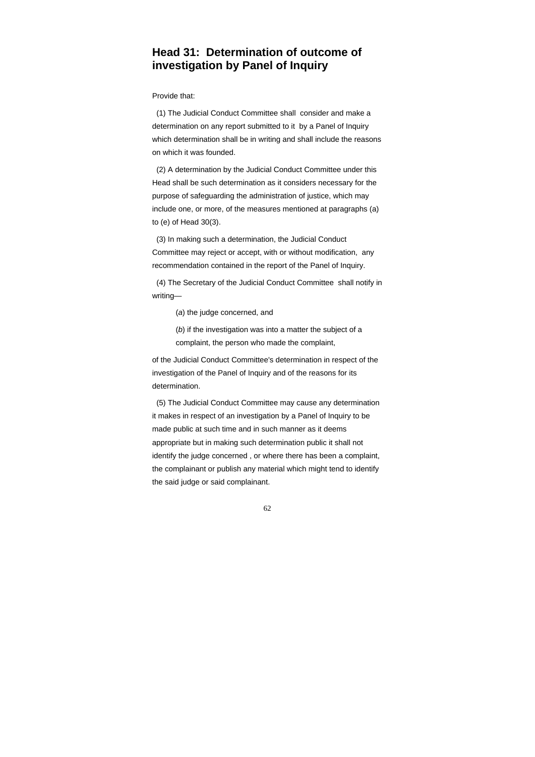# **Head 31: Determination of outcome of investigation by Panel of Inquiry**

Provide that:

 (1) The Judicial Conduct Committee shall consider and make a determination on any report submitted to it by a Panel of Inquiry which determination shall be in writing and shall include the reasons on which it was founded.

 (2) A determination by the Judicial Conduct Committee under this Head shall be such determination as it considers necessary for the purpose of safeguarding the administration of justice, which may include one, or more, of the measures mentioned at paragraphs (a) to (e) of Head 30(3).

 (3) In making such a determination, the Judicial Conduct Committee may reject or accept, with or without modification, any recommendation contained in the report of the Panel of Inquiry.

 (4) The Secretary of the Judicial Conduct Committee shall notify in writing—

(*a*) the judge concerned, and

 (*b*) if the investigation was into a matter the subject of a complaint, the person who made the complaint,

of the Judicial Conduct Committee's determination in respect of the investigation of the Panel of Inquiry and of the reasons for its determination.

 (5) The Judicial Conduct Committee may cause any determination it makes in respect of an investigation by a Panel of Inquiry to be made public at such time and in such manner as it deems appropriate but in making such determination public it shall not identify the judge concerned , or where there has been a complaint, the complainant or publish any material which might tend to identify the said judge or said complainant.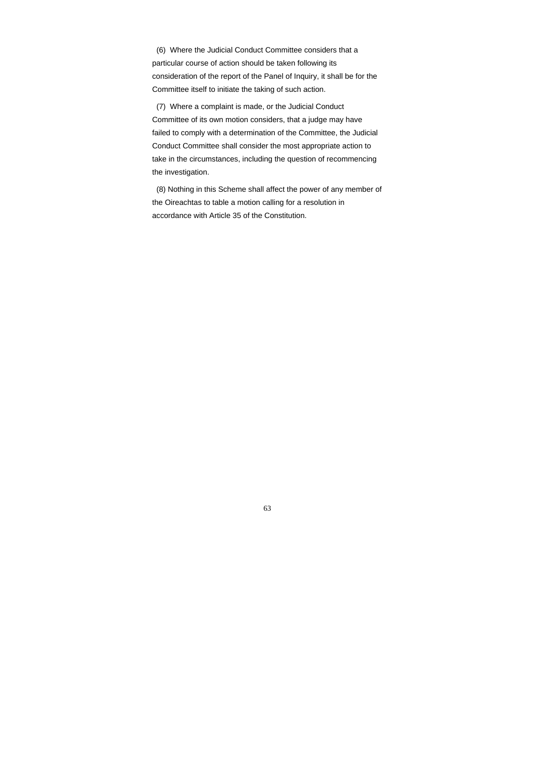(6) Where the Judicial Conduct Committee considers that a particular course of action should be taken following its consideration of the report of the Panel of Inquiry, it shall be for the Committee itself to initiate the taking of such action.

 (7) Where a complaint is made, or the Judicial Conduct Committee of its own motion considers, that a judge may have failed to comply with a determination of the Committee, the Judicial Conduct Committee shall consider the most appropriate action to take in the circumstances, including the question of recommencing the investigation.

 (8) Nothing in this Scheme shall affect the power of any member of the Oireachtas to table a motion calling for a resolution in accordance with Article 35 of the Constitution.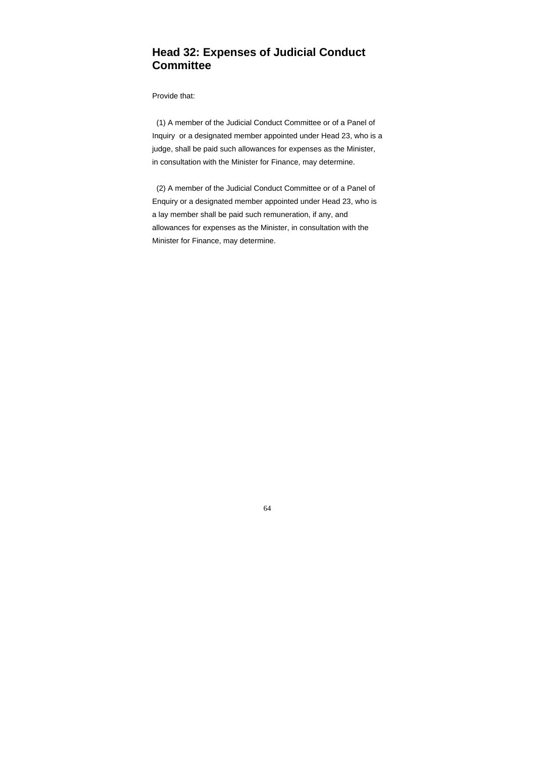# **Head 32: Expenses of Judicial Conduct Committee**

#### Provide that:

 (1) A member of the Judicial Conduct Committee or of a Panel of Inquiry or a designated member appointed under Head 23, who is a judge, shall be paid such allowances for expenses as the Minister, in consultation with the Minister for Finance, may determine.

 (2) A member of the Judicial Conduct Committee or of a Panel of Enquiry or a designated member appointed under Head 23, who is a lay member shall be paid such remuneration, if any, and allowances for expenses as the Minister, in consultation with the Minister for Finance, may determine.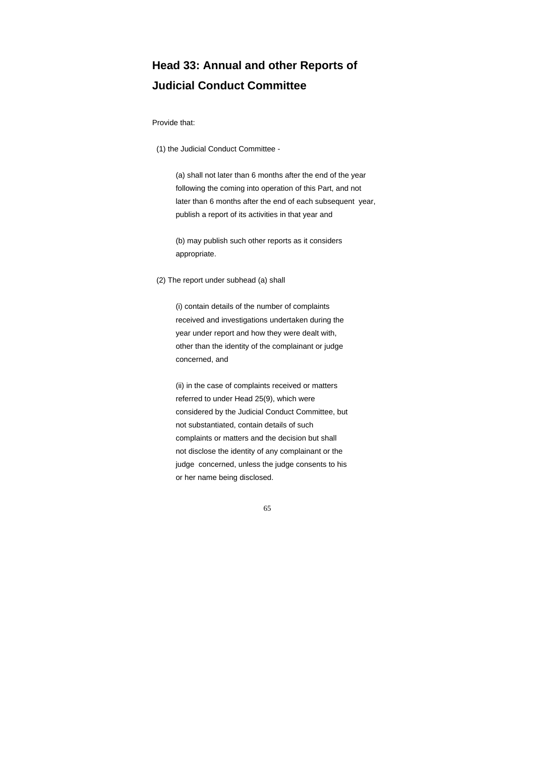# **Head 33: Annual and other Reports of Judicial Conduct Committee**

#### Provide that:

(1) the Judicial Conduct Committee -

 (a) shall not later than 6 months after the end of the year following the coming into operation of this Part, and not later than 6 months after the end of each subsequent year, publish a report of its activities in that year and

 (b) may publish such other reports as it considers appropriate.

(2) The report under subhead (a) shall

 (i) contain details of the number of complaints received and investigations undertaken during the year under report and how they were dealt with, other than the identity of the complainant or judge concerned, and

 (ii) in the case of complaints received or matters referred to under Head 25(9), which were considered by the Judicial Conduct Committee, but not substantiated, contain details of such complaints or matters and the decision but shall not disclose the identity of any complainant or the judge concerned, unless the judge consents to his or her name being disclosed.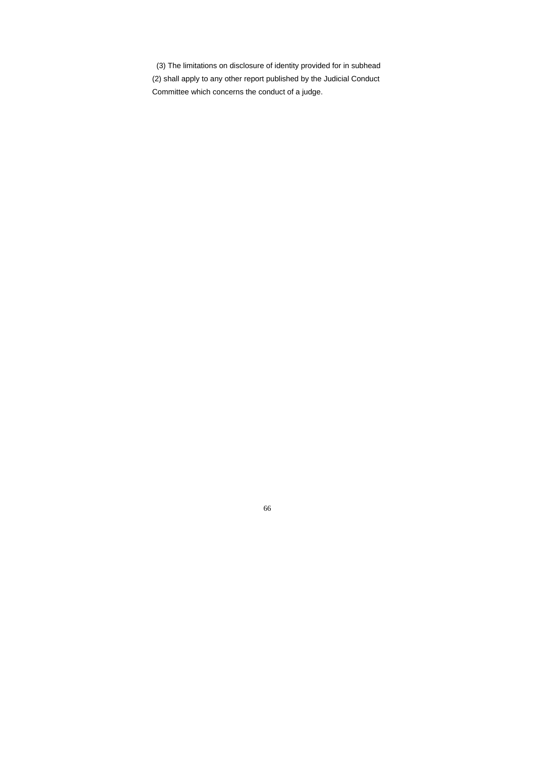(3) The limitations on disclosure of identity provided for in subhead (2) shall apply to any other report published by the Judicial Conduct Committee which concerns the conduct of a judge.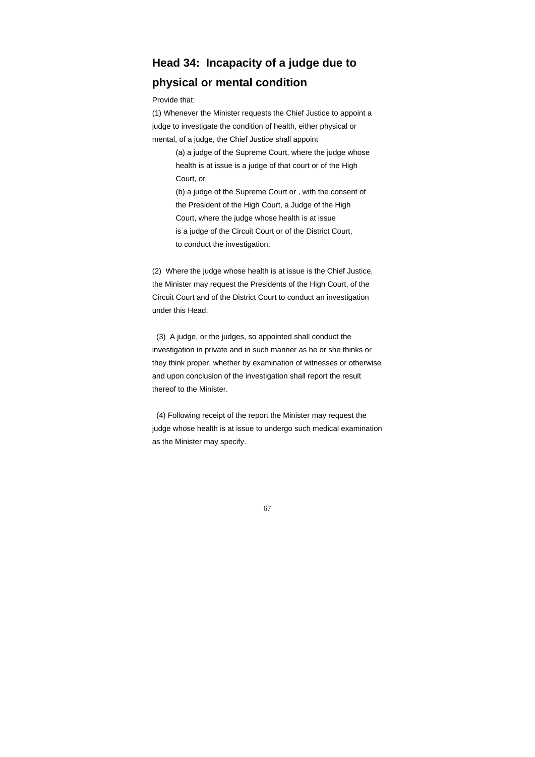# **Head 34: Incapacity of a judge due to physical or mental condition**

Provide that:

(1) Whenever the Minister requests the Chief Justice to appoint a judge to investigate the condition of health, either physical or mental, of a judge, the Chief Justice shall appoint

> (a) a judge of the Supreme Court, where the judge whose health is at issue is a judge of that court or of the High Court, or

 (b) a judge of the Supreme Court or , with the consent of the President of the High Court, a Judge of the High Court, where the judge whose health is at issue is a judge of the Circuit Court or of the District Court, to conduct the investigation.

(2) Where the judge whose health is at issue is the Chief Justice, the Minister may request the Presidents of the High Court, of the Circuit Court and of the District Court to conduct an investigation under this Head.

 (3) A judge, or the judges, so appointed shall conduct the investigation in private and in such manner as he or she thinks or they think proper, whether by examination of witnesses or otherwise and upon conclusion of the investigation shall report the result thereof to the Minister.

 (4) Following receipt of the report the Minister may request the judge whose health is at issue to undergo such medical examination as the Minister may specify.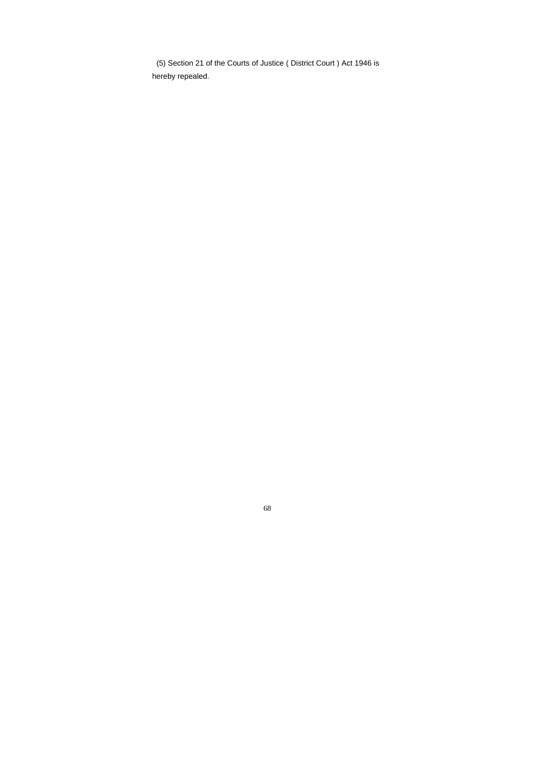(5) Section 21 of the Courts of Justice ( District Court ) Act 1946 is hereby repealed.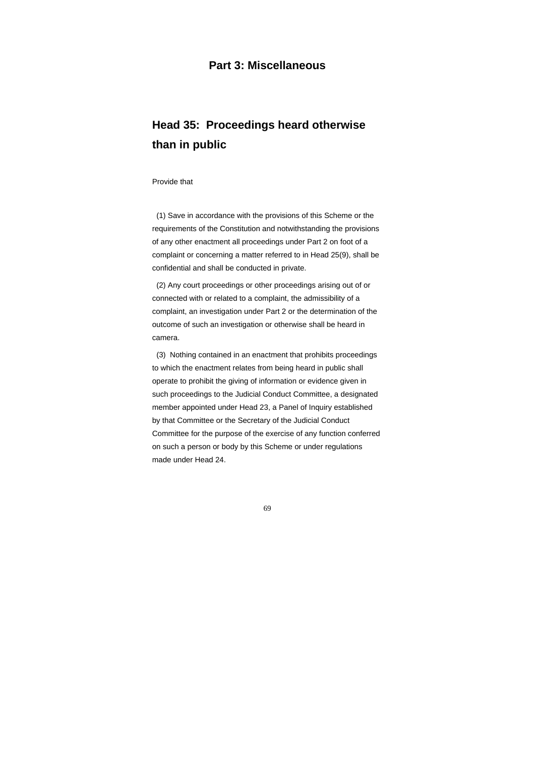### **Part 3: Miscellaneous**

# **Head 35: Proceedings heard otherwise than in public**

#### Provide that

 (1) Save in accordance with the provisions of this Scheme or the requirements of the Constitution and notwithstanding the provisions of any other enactment all proceedings under Part 2 on foot of a complaint or concerning a matter referred to in Head 25(9), shall be confidential and shall be conducted in private.

 (2) Any court proceedings or other proceedings arising out of or connected with or related to a complaint, the admissibility of a complaint, an investigation under Part 2 or the determination of the outcome of such an investigation or otherwise shall be heard in camera.

 (3) Nothing contained in an enactment that prohibits proceedings to which the enactment relates from being heard in public shall operate to prohibit the giving of information or evidence given in such proceedings to the Judicial Conduct Committee, a designated member appointed under Head 23, a Panel of Inquiry established by that Committee or the Secretary of the Judicial Conduct Committee for the purpose of the exercise of any function conferred on such a person or body by this Scheme or under regulations made under Head 24.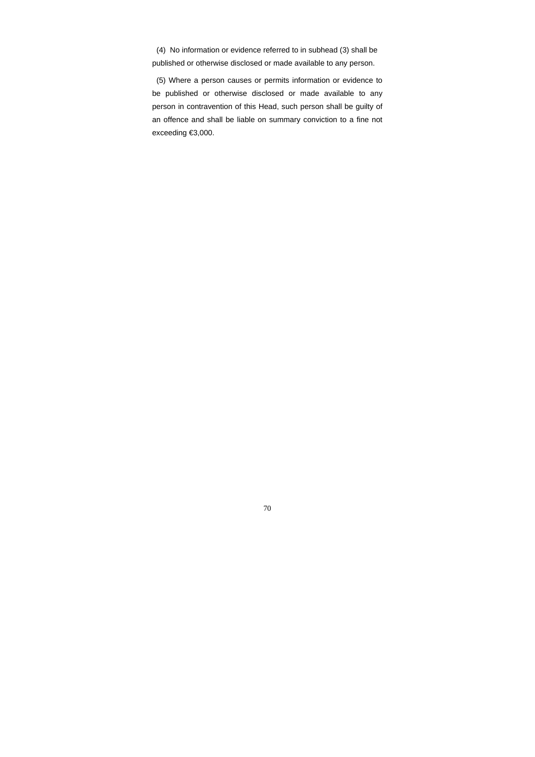(4) No information or evidence referred to in subhead (3) shall be published or otherwise disclosed or made available to any person.

 (5) Where a person causes or permits information or evidence to be published or otherwise disclosed or made available to any person in contravention of this Head, such person shall be guilty of an offence and shall be liable on summary conviction to a fine not exceeding €3,000.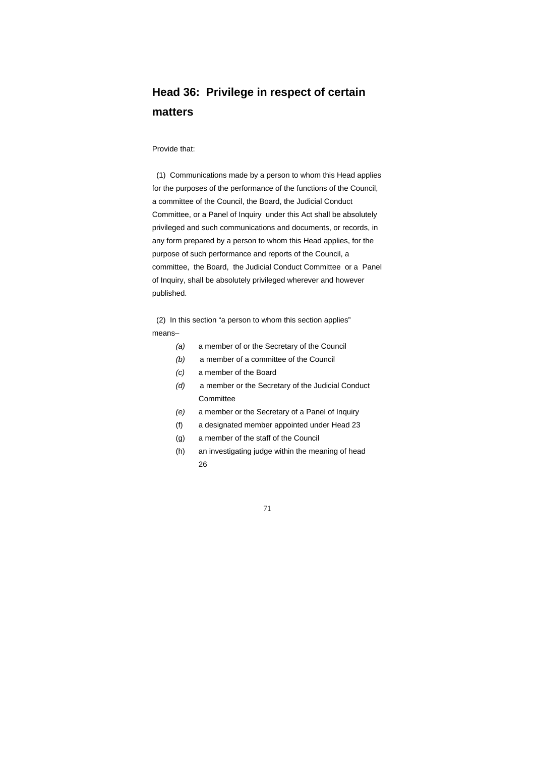# **Head 36: Privilege in respect of certain matters**

#### Provide that:

 (1) Communications made by a person to whom this Head applies for the purposes of the performance of the functions of the Council, a committee of the Council, the Board, the Judicial Conduct Committee, or a Panel of Inquiry under this Act shall be absolutely privileged and such communications and documents, or records, in any form prepared by a person to whom this Head applies, for the purpose of such performance and reports of the Council, a committee, the Board, the Judicial Conduct Committee or a Panel of Inquiry, shall be absolutely privileged wherever and however published.

 (2) In this section "a person to whom this section applies" means–

- *(a)* a member of or the Secretary of the Council
- *(b)* a member of a committee of the Council
- *(c)* a member of the Board
- *(d)* a member or the Secretary of the Judicial Conduct **Committee**
- *(e)* a member or the Secretary of a Panel of Inquiry
- (f) a designated member appointed under Head 23
- (g) a member of the staff of the Council
- (h) an investigating judge within the meaning of head 26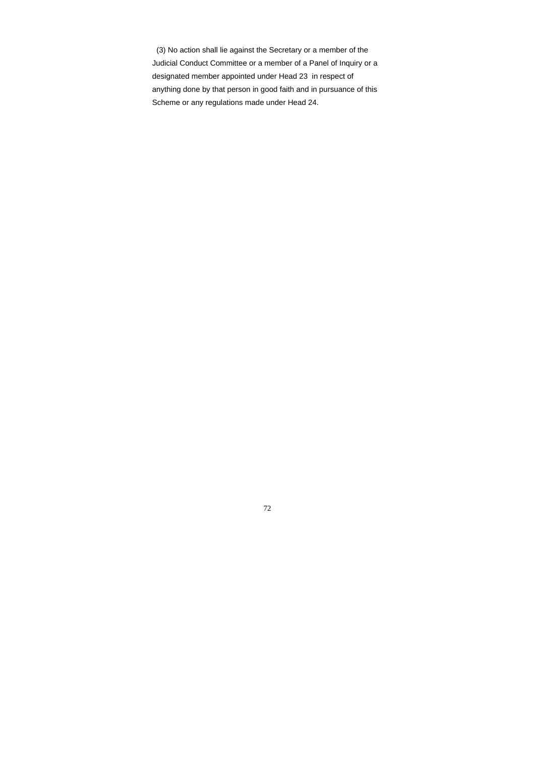(3) No action shall lie against the Secretary or a member of the Judicial Conduct Committee or a member of a Panel of Inquiry or a designated member appointed under Head 23 in respect of anything done by that person in good faith and in pursuance of this Scheme or any regulations made under Head 24.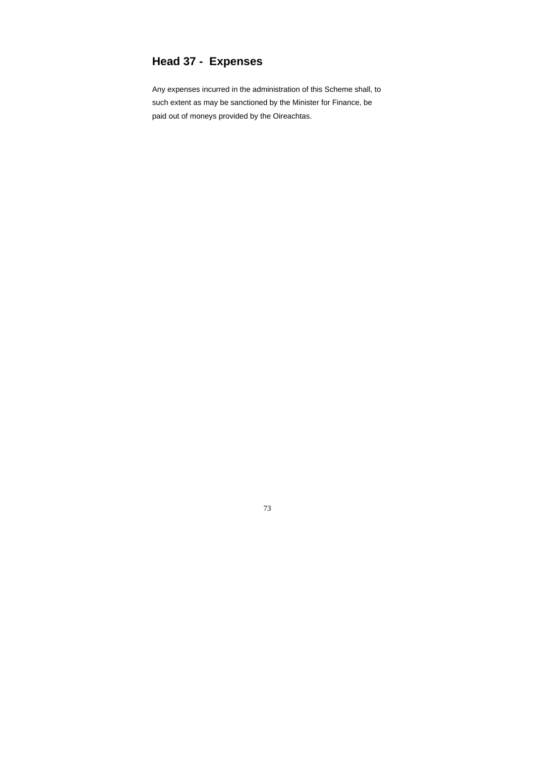# **Head 37 - Expenses**

Any expenses incurred in the administration of this Scheme shall, to such extent as may be sanctioned by the Minister for Finance, be paid out of moneys provided by the Oireachtas.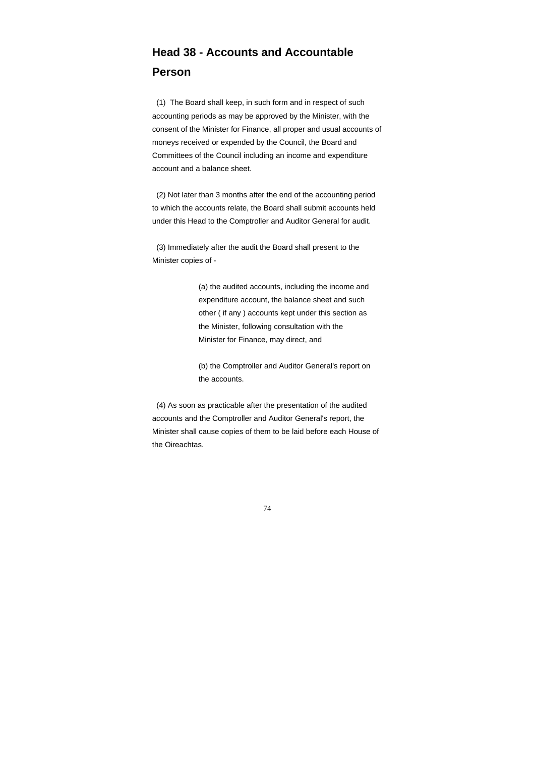# **Head 38 - Accounts and Accountable Person**

 (1) The Board shall keep, in such form and in respect of such accounting periods as may be approved by the Minister, with the consent of the Minister for Finance, all proper and usual accounts of moneys received or expended by the Council, the Board and Committees of the Council including an income and expenditure account and a balance sheet.

 (2) Not later than 3 months after the end of the accounting period to which the accounts relate, the Board shall submit accounts held under this Head to the Comptroller and Auditor General for audit.

 (3) Immediately after the audit the Board shall present to the Minister copies of -

> (a) the audited accounts, including the income and expenditure account, the balance sheet and such other ( if any ) accounts kept under this section as the Minister, following consultation with the Minister for Finance, may direct, and

 (b) the Comptroller and Auditor General's report on the accounts.

 (4) As soon as practicable after the presentation of the audited accounts and the Comptroller and Auditor General's report, the Minister shall cause copies of them to be laid before each House of the Oireachtas.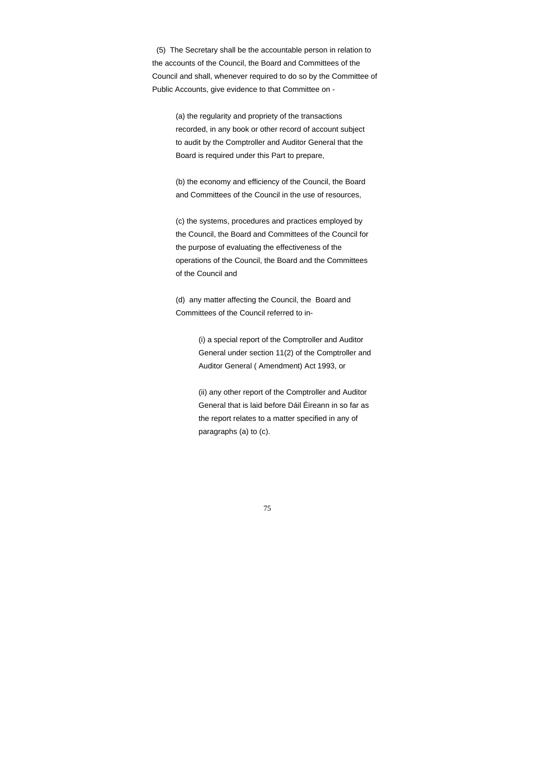(5) The Secretary shall be the accountable person in relation to the accounts of the Council, the Board and Committees of the Council and shall, whenever required to do so by the Committee of Public Accounts, give evidence to that Committee on -

> (a) the regularity and propriety of the transactions recorded, in any book or other record of account subject to audit by the Comptroller and Auditor General that the Board is required under this Part to prepare,

> (b) the economy and efficiency of the Council, the Board and Committees of the Council in the use of resources,

 (c) the systems, procedures and practices employed by the Council, the Board and Committees of the Council for the purpose of evaluating the effectiveness of the operations of the Council, the Board and the Committees of the Council and

 (d) any matter affecting the Council, the Board and Committees of the Council referred to in-

> (i) a special report of the Comptroller and Auditor General under section 11(2) of the Comptroller and Auditor General ( Amendment) Act 1993, or

 (ii) any other report of the Comptroller and Auditor General that is laid before Dáil Éireann in so far as the report relates to a matter specified in any of paragraphs (a) to (c).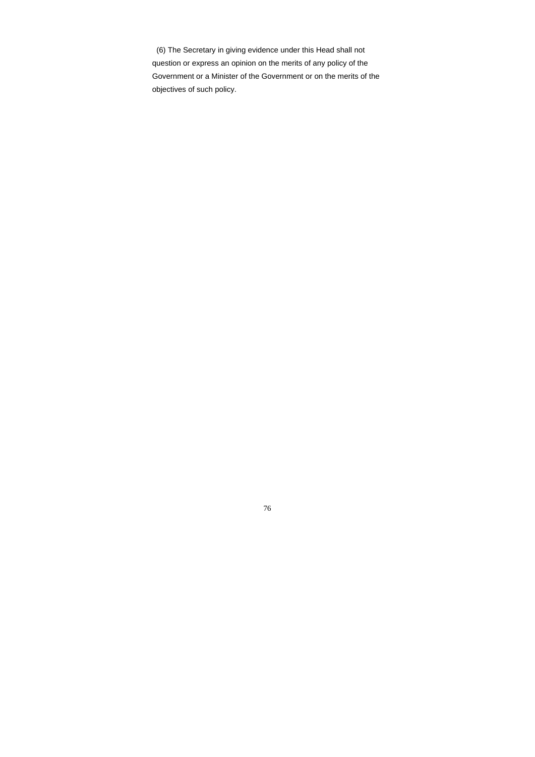(6) The Secretary in giving evidence under this Head shall not question or express an opinion on the merits of any policy of the Government or a Minister of the Government or on the merits of the objectives of such policy.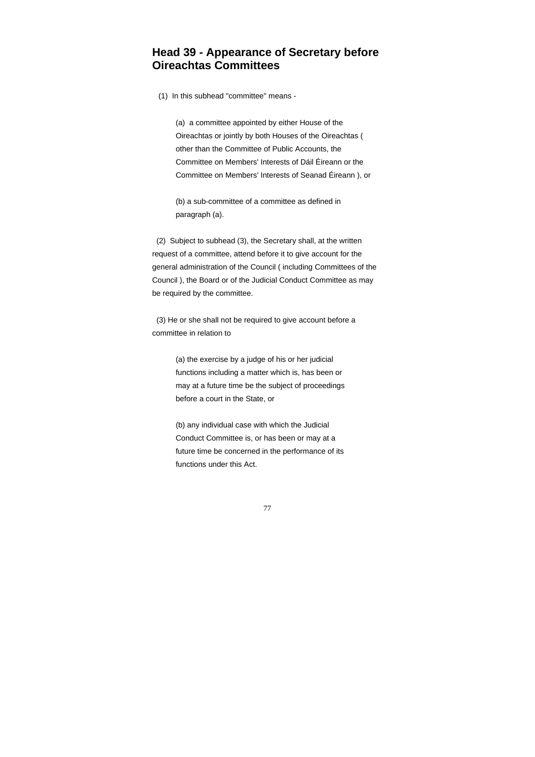#### **Head 39 - Appearance of Secretary before Oireachtas Committees**

(1) In this subhead "committee" means -

 (a) a committee appointed by either House of the Oireachtas or jointly by both Houses of the Oireachtas ( other than the Committee of Public Accounts, the Committee on Members' Interests of Dáil Éireann or the Committee on Members' Interests of Seanad Éireann ), or

 (b) a sub-committee of a committee as defined in paragraph (a).

 (2) Subject to subhead (3), the Secretary shall, at the written request of a committee, attend before it to give account for the general administration of the Council ( including Committees of the Council ), the Board or of the Judicial Conduct Committee as may be required by the committee.

 (3) He or she shall not be required to give account before a committee in relation to

> (a) the exercise by a judge of his or her judicial functions including a matter which is, has been or may at a future time be the subject of proceedings before a court in the State, or

> (b) any individual case with which the Judicial Conduct Committee is, or has been or may at a future time be concerned in the performance of its functions under this Act.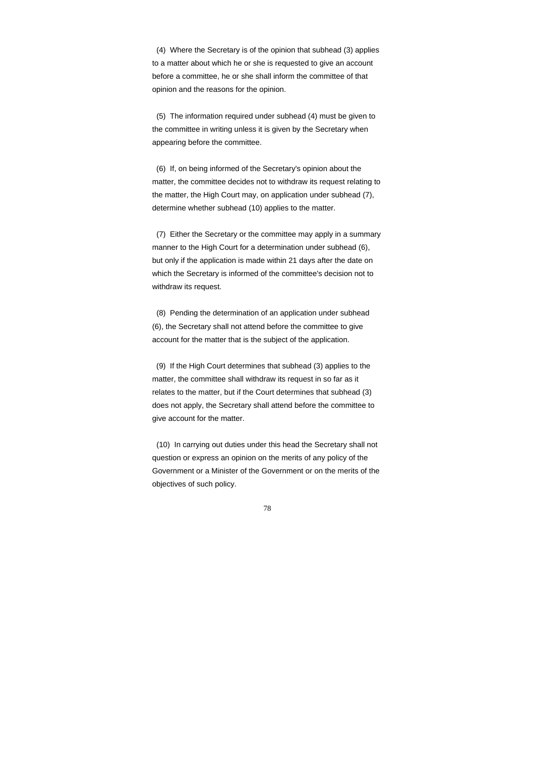(4) Where the Secretary is of the opinion that subhead (3) applies to a matter about which he or she is requested to give an account before a committee, he or she shall inform the committee of that opinion and the reasons for the opinion.

 (5) The information required under subhead (4) must be given to the committee in writing unless it is given by the Secretary when appearing before the committee.

 (6) If, on being informed of the Secretary's opinion about the matter, the committee decides not to withdraw its request relating to the matter, the High Court may, on application under subhead (7), determine whether subhead (10) applies to the matter.

 (7) Either the Secretary or the committee may apply in a summary manner to the High Court for a determination under subhead (6), but only if the application is made within 21 days after the date on which the Secretary is informed of the committee's decision not to withdraw its request.

 (8) Pending the determination of an application under subhead (6), the Secretary shall not attend before the committee to give account for the matter that is the subject of the application.

 (9) If the High Court determines that subhead (3) applies to the matter, the committee shall withdraw its request in so far as it relates to the matter, but if the Court determines that subhead (3) does not apply, the Secretary shall attend before the committee to give account for the matter.

 (10) In carrying out duties under this head the Secretary shall not question or express an opinion on the merits of any policy of the Government or a Minister of the Government or on the merits of the objectives of such policy.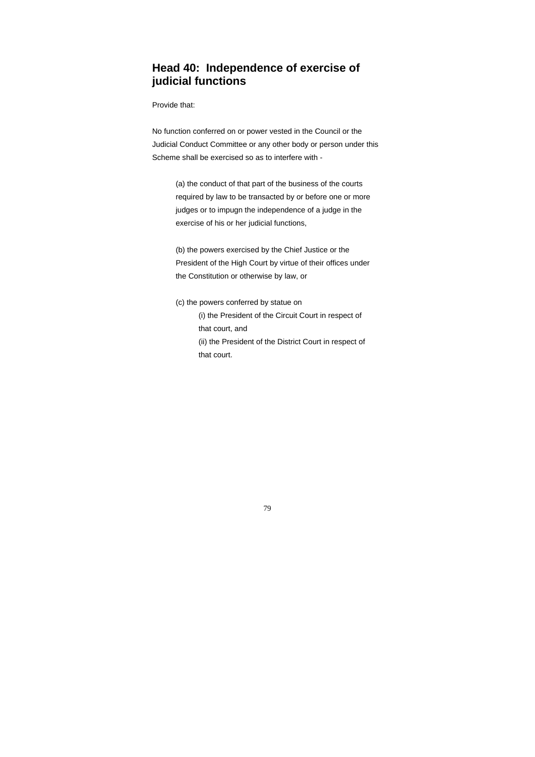### **Head 40: Independence of exercise of judicial functions**

Provide that:

No function conferred on or power vested in the Council or the Judicial Conduct Committee or any other body or person under this Scheme shall be exercised so as to interfere with -

 (a) the conduct of that part of the business of the courts required by law to be transacted by or before one or more judges or to impugn the independence of a judge in the exercise of his or her judicial functions,

 (b) the powers exercised by the Chief Justice or the President of the High Court by virtue of their offices under the Constitution or otherwise by law, or

- (c) the powers conferred by statue on (i) the President of the Circuit Court in respect of that court, and
	- (ii) the President of the District Court in respect of that court.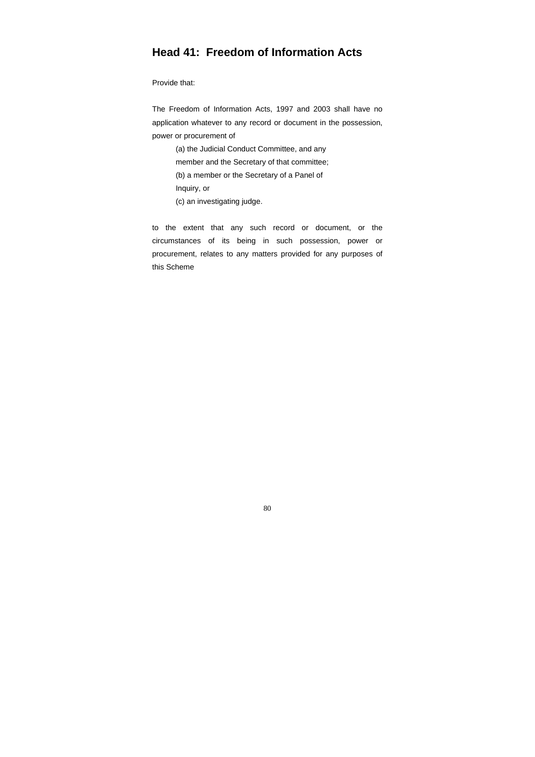## **Head 41: Freedom of Information Acts**

Provide that:

The Freedom of Information Acts, 1997 and 2003 shall have no application whatever to any record or document in the possession, power or procurement of

 (a) the Judicial Conduct Committee, and any member and the Secretary of that committee; (b) a member or the Secretary of a Panel of Inquiry, or (c) an investigating judge.

to the extent that any such record or document, or the circumstances of its being in such possession, power or procurement, relates to any matters provided for any purposes of this Scheme